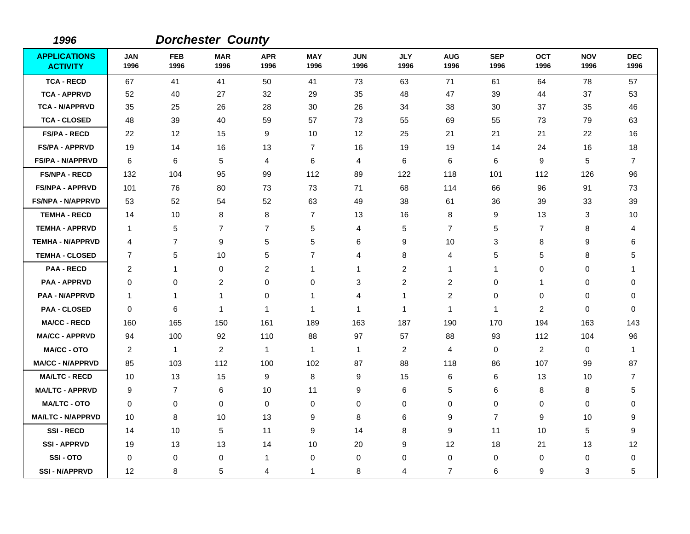| 1996                                   |                    |                    | <b>Dorchester County</b> |                    |                    |                    |                    |                    |                    |                    |                    |                    |
|----------------------------------------|--------------------|--------------------|--------------------------|--------------------|--------------------|--------------------|--------------------|--------------------|--------------------|--------------------|--------------------|--------------------|
| <b>APPLICATIONS</b><br><b>ACTIVITY</b> | <b>JAN</b><br>1996 | <b>FEB</b><br>1996 | <b>MAR</b><br>1996       | <b>APR</b><br>1996 | <b>MAY</b><br>1996 | <b>JUN</b><br>1996 | <b>JLY</b><br>1996 | <b>AUG</b><br>1996 | <b>SEP</b><br>1996 | <b>OCT</b><br>1996 | <b>NOV</b><br>1996 | <b>DEC</b><br>1996 |
| <b>TCA - RECD</b>                      | 67                 | 41                 | 41                       | 50                 | 41                 | 73                 | 63                 | 71                 | 61                 | 64                 | 78                 | 57                 |
| <b>TCA - APPRVD</b>                    | 52                 | 40                 | 27                       | 32                 | 29                 | 35                 | 48                 | 47                 | 39                 | 44                 | 37                 | 53                 |
| <b>TCA - N/APPRVD</b>                  | 35                 | 25                 | 26                       | 28                 | 30                 | 26                 | 34                 | 38                 | 30                 | 37                 | 35                 | 46                 |
| <b>TCA - CLOSED</b>                    | 48                 | 39                 | 40                       | 59                 | 57                 | 73                 | 55                 | 69                 | 55                 | 73                 | 79                 | 63                 |
| <b>FS/PA - RECD</b>                    | 22                 | 12                 | 15                       | 9                  | 10                 | 12                 | 25                 | 21                 | 21                 | 21                 | 22                 | 16                 |
| <b>FS/PA - APPRVD</b>                  | 19                 | 14                 | 16                       | 13                 | $\overline{7}$     | 16                 | 19                 | 19                 | 14                 | 24                 | 16                 | 18                 |
| <b>FS/PA - N/APPRVD</b>                | 6                  | 6                  | 5                        | 4                  | 6                  | 4                  | 6                  | 6                  | 6                  | 9                  | 5                  | $\overline{7}$     |
| <b>FS/NPA - RECD</b>                   | 132                | 104                | 95                       | 99                 | 112                | 89                 | 122                | 118                | 101                | 112                | 126                | 96                 |
| <b>FS/NPA - APPRVD</b>                 | 101                | 76                 | 80                       | 73                 | 73                 | 71                 | 68                 | 114                | 66                 | 96                 | 91                 | 73                 |
| <b>FS/NPA - N/APPRVD</b>               | 53                 | 52                 | 54                       | 52                 | 63                 | 49                 | 38                 | 61                 | 36                 | 39                 | 33                 | 39                 |
| <b>TEMHA - RECD</b>                    | 14                 | 10                 | 8                        | 8                  | $\overline{7}$     | 13                 | 16                 | 8                  | 9                  | 13                 | 3                  | 10                 |
| <b>TEMHA - APPRVD</b>                  | -1                 | 5                  | $\overline{7}$           | $\overline{7}$     | 5                  | 4                  | 5                  | 7                  | 5                  | $\overline{7}$     | 8                  | 4                  |
| <b>TEMHA - N/APPRVD</b>                | 4                  | $\overline{7}$     | 9                        | 5                  | 5                  | 6                  | 9                  | 10                 | 3                  | 8                  | 9                  | 6                  |
| <b>TEMHA - CLOSED</b>                  | 7                  | 5                  | 10                       | 5                  | $\overline{7}$     | 4                  | 8                  | 4                  | 5                  | 5                  | 8                  | 5                  |
| <b>PAA - RECD</b>                      | 2                  | 1                  | $\mathbf 0$              | $\overline{c}$     | $\mathbf{1}$       | 1                  | $\overline{c}$     | 1                  | $\mathbf{1}$       | 0                  | 0                  | 1                  |
| <b>PAA - APPRVD</b>                    | 0                  | 0                  | $\overline{2}$           | 0                  | 0                  | 3                  | $\overline{c}$     | $\overline{c}$     | 0                  | 1                  | 0                  | 0                  |
| <b>PAA - N/APPRVD</b>                  | 1                  | 1                  | 1                        | 0                  | 1                  | 4                  | 1                  | $\overline{c}$     | $\mathbf 0$        | 0                  | 0                  | 0                  |
| <b>PAA - CLOSED</b>                    | 0                  | 6                  | $\mathbf{1}$             | 1                  | $\mathbf{1}$       | 1                  | $\mathbf{1}$       | 1                  | $\mathbf 1$        | 2                  | 0                  | 0                  |
| <b>MA/CC - RECD</b>                    | 160                | 165                | 150                      | 161                | 189                | 163                | 187                | 190                | 170                | 194                | 163                | 143                |
| <b>MA/CC - APPRVD</b>                  | 94                 | 100                | 92                       | 110                | 88                 | 97                 | 57                 | 88                 | 93                 | 112                | 104                | 96                 |
| <b>MA/CC - OTO</b>                     | $\overline{c}$     | 1                  | $\overline{c}$           | $\mathbf{1}$       | $\mathbf{1}$       | $\mathbf{1}$       | $\overline{c}$     | 4                  | $\mathbf 0$        | $\overline{c}$     | 0                  | 1                  |
| <b>MA/CC - N/APPRVD</b>                | 85                 | 103                | 112                      | 100                | 102                | 87                 | 88                 | 118                | 86                 | 107                | 99                 | 87                 |
| <b>MA/LTC - RECD</b>                   | 10                 | 13                 | 15                       | 9                  | 8                  | 9                  | 15                 | 6                  | 6                  | 13                 | 10                 | $\overline{7}$     |
| <b>MA/LTC - APPRVD</b>                 | 9                  | $\overline{7}$     | 6                        | 10                 | 11                 | 9                  | 6                  | 5                  | 6                  | 8                  | 8                  | 5                  |
| <b>MA/LTC - OTO</b>                    | 0                  | 0                  | $\mathbf 0$              | $\mathbf 0$        | 0                  | 0                  | $\pmb{0}$          | 0                  | $\mathbf 0$        | 0                  | 0                  | $\mathbf 0$        |
| <b>MA/LTC - N/APPRVD</b>               | 10                 | 8                  | 10                       | 13                 | 9                  | 8                  | 6                  | 9                  | $\overline{7}$     | 9                  | 10                 | 9                  |
| <b>SSI-RECD</b>                        | 14                 | 10                 | 5                        | 11                 | 9                  | 14                 | 8                  | 9                  | 11                 | 10                 | 5                  | 9                  |
| <b>SSI-APPRVD</b>                      | 19                 | 13                 | 13                       | 14                 | 10                 | 20                 | 9                  | 12                 | 18                 | 21                 | 13                 | 12                 |
| SSI-OTO                                | 0                  | 0                  | $\mathbf 0$              | 1                  | 0                  | 0                  | 0                  | 0                  | $\mathbf 0$        | 0                  | $\pmb{0}$          | 0                  |
| <b>SSI - N/APPRVD</b>                  | $12 \overline{ }$  | 8                  | 5                        | 4                  | 1                  | 8                  | 4                  | $\overline{7}$     | 6                  | 9                  | 3                  | 5                  |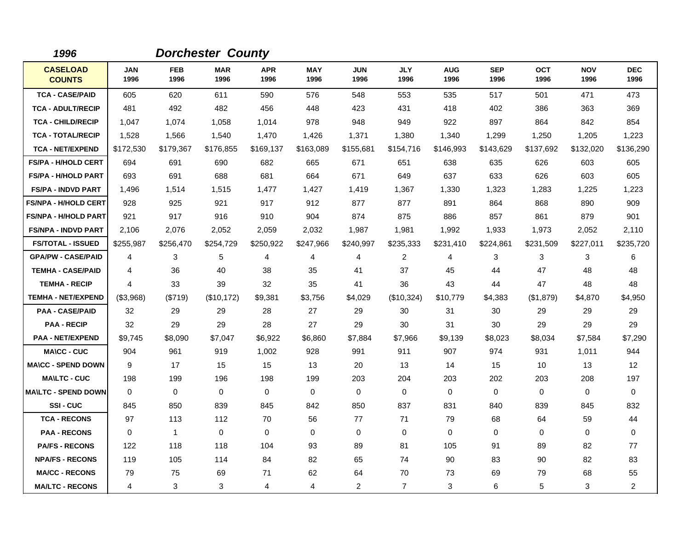| 1996                             |                    |                    | <b>Dorchester County</b> |                    |                    |                    |                         |                    |                    |                    |                    |                    |
|----------------------------------|--------------------|--------------------|--------------------------|--------------------|--------------------|--------------------|-------------------------|--------------------|--------------------|--------------------|--------------------|--------------------|
| <b>CASELOAD</b><br><b>COUNTS</b> | <b>JAN</b><br>1996 | <b>FEB</b><br>1996 | <b>MAR</b><br>1996       | <b>APR</b><br>1996 | <b>MAY</b><br>1996 | <b>JUN</b><br>1996 | <b>JLY</b><br>1996      | <b>AUG</b><br>1996 | <b>SEP</b><br>1996 | <b>OCT</b><br>1996 | <b>NOV</b><br>1996 | <b>DEC</b><br>1996 |
| <b>TCA - CASE/PAID</b>           | 605                | 620                | 611                      | 590                | 576                | 548                | 553                     | 535                | 517                | 501                | 471                | 473                |
| <b>TCA - ADULT/RECIP</b>         | 481                | 492                | 482                      | 456                | 448                | 423                | 431                     | 418                | 402                | 386                | 363                | 369                |
| <b>TCA - CHILD/RECIP</b>         | 1,047              | 1,074              | 1,058                    | 1,014              | 978                | 948                | 949                     | 922                | 897                | 864                | 842                | 854                |
| <b>TCA - TOTAL/RECIP</b>         | 1,528              | 1,566              | 1,540                    | 1,470              | 1,426              | 1,371              | 1,380                   | 1,340              | 1,299              | 1,250              | 1,205              | 1,223              |
| <b>TCA - NET/EXPEND</b>          | \$172,530          | \$179,367          | \$176,855                | \$169,137          | \$163,089          | \$155,681          | \$154,716               | \$146,993          | \$143,629          | \$137,692          | \$132,020          | \$136,290          |
| <b>FS/PA - H/HOLD CERT</b>       | 694                | 691                | 690                      | 682                | 665                | 671                | 651                     | 638                | 635                | 626                | 603                | 605                |
| <b>FS/PA - H/HOLD PART</b>       | 693                | 691                | 688                      | 681                | 664                | 671                | 649                     | 637                | 633                | 626                | 603                | 605                |
| <b>FS/PA - INDVD PART</b>        | 1,496              | 1,514              | 1,515                    | 1,477              | 1,427              | 1,419              | 1,367                   | 1,330              | 1,323              | 1,283              | 1,225              | 1,223              |
| <b>FS/NPA - H/HOLD CERT</b>      | 928                | 925                | 921                      | 917                | 912                | 877                | 877                     | 891                | 864                | 868                | 890                | 909                |
| <b>FS/NPA - H/HOLD PART</b>      | 921                | 917                | 916                      | 910                | 904                | 874                | 875                     | 886                | 857                | 861                | 879                | 901                |
| <b>FS/NPA - INDVD PART</b>       | 2,106              | 2,076              | 2,052                    | 2,059              | 2,032              | 1,987              | 1,981                   | 1,992              | 1,933              | 1,973              | 2,052              | 2,110              |
| <b>FS/TOTAL - ISSUED</b>         | \$255,987          | \$256,470          | \$254,729                | \$250,922          | \$247,966          | \$240,997          | \$235,333               | \$231,410          | \$224,861          | \$231,509          | \$227,011          | \$235,720          |
| <b>GPA/PW - CASE/PAID</b>        | 4                  | 3                  | 5                        | 4                  | 4                  | 4                  | $\overline{\mathbf{c}}$ | 4                  | 3                  | 3                  | 3                  | 6                  |
| <b>TEMHA - CASE/PAID</b>         | 4                  | 36                 | 40                       | 38                 | 35                 | 41                 | 37                      | 45                 | 44                 | 47                 | 48                 | 48                 |
| <b>TEMHA - RECIP</b>             | 4                  | 33                 | 39                       | 32                 | 35                 | 41                 | 36                      | 43                 | 44                 | 47                 | 48                 | 48                 |
| <b>TEMHA - NET/EXPEND</b>        | $($ \$3,968)       | (\$719)            | (\$10,172)               | \$9,381            | \$3,756            | \$4,029            | (\$10,324)              | \$10,779           | \$4,383            | (\$1,879)          | \$4,870            | \$4,950            |
| <b>PAA - CASE/PAID</b>           | 32                 | 29                 | 29                       | 28                 | 27                 | 29                 | 30                      | 31                 | 30                 | 29                 | 29                 | 29                 |
| <b>PAA - RECIP</b>               | 32                 | 29                 | 29                       | 28                 | 27                 | 29                 | 30                      | 31                 | 30                 | 29                 | 29                 | 29                 |
| <b>PAA - NET/EXPEND</b>          | \$9,745            | \$8,090            | \$7,047                  | \$6,922            | \$6,860            | \$7,884            | \$7,966                 | \$9,139            | \$8,023            | \$8,034            | \$7,584            | \$7,290            |
| <b>MA\CC - CUC</b>               | 904                | 961                | 919                      | 1,002              | 928                | 991                | 911                     | 907                | 974                | 931                | 1,011              | 944                |
| <b>MA\CC - SPEND DOWN</b>        | 9                  | 17                 | 15                       | 15                 | 13                 | 20                 | 13                      | 14                 | 15                 | 10                 | 13                 | 12                 |
| <b>MA\LTC - CUC</b>              | 198                | 199                | 196                      | 198                | 199                | 203                | 204                     | 203                | 202                | 203                | 208                | 197                |
| <b>MA\LTC - SPEND DOWN</b>       | $\Omega$           | $\mathbf 0$        | $\mathbf 0$              | $\mathbf 0$        | $\mathbf 0$        | $\mathbf 0$        | 0                       | 0                  | $\mathbf 0$        | 0                  | $\mathbf 0$        | 0                  |
| SSI-CUC                          | 845                | 850                | 839                      | 845                | 842                | 850                | 837                     | 831                | 840                | 839                | 845                | 832                |
| <b>TCA - RECONS</b>              | 97                 | 113                | 112                      | 70                 | 56                 | 77                 | 71                      | 79                 | 68                 | 64                 | 59                 | 44                 |
| <b>PAA - RECONS</b>              | 0                  | 1                  | $\mathbf 0$              | $\mathbf 0$        | 0                  | $\mathbf 0$        | 0                       | 0                  | $\mathbf 0$        | 0                  | 0                  | 0                  |
| <b>PA/FS - RECONS</b>            | 122                | 118                | 118                      | 104                | 93                 | 89                 | 81                      | 105                | 91                 | 89                 | 82                 | 77                 |
| <b>NPA/FS - RECONS</b>           | 119                | 105                | 114                      | 84                 | 82                 | 65                 | 74                      | 90                 | 83                 | 90                 | 82                 | 83                 |
| <b>MA/CC - RECONS</b>            | 79                 | 75                 | 69                       | 71                 | 62                 | 64                 | 70                      | 73                 | 69                 | 79                 | 68                 | 55                 |
| <b>MA/LTC - RECONS</b>           | 4                  | 3                  | 3                        | 4                  | 4                  | 2                  | $\overline{7}$          | 3                  | 6                  | 5                  | 3                  | $\overline{c}$     |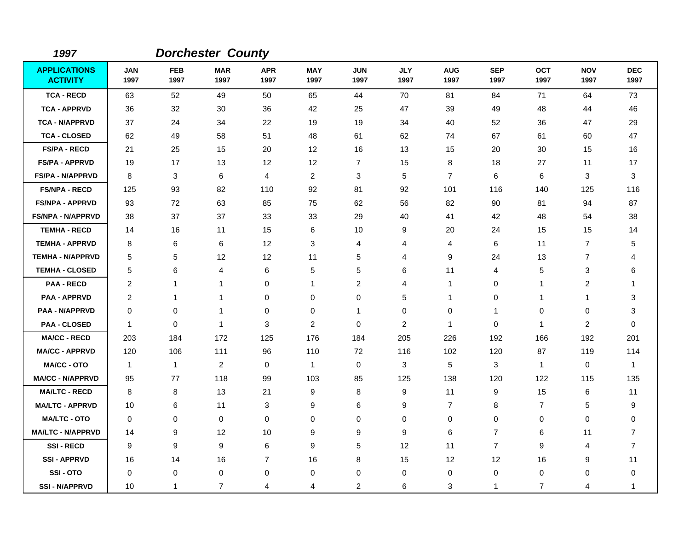| 1997                                   |                    |                    | <b>Dorchester County</b> |                    |                    |                    |                    |                    |                         |                    |                    |                    |
|----------------------------------------|--------------------|--------------------|--------------------------|--------------------|--------------------|--------------------|--------------------|--------------------|-------------------------|--------------------|--------------------|--------------------|
| <b>APPLICATIONS</b><br><b>ACTIVITY</b> | <b>JAN</b><br>1997 | <b>FEB</b><br>1997 | <b>MAR</b><br>1997       | <b>APR</b><br>1997 | <b>MAY</b><br>1997 | <b>JUN</b><br>1997 | <b>JLY</b><br>1997 | <b>AUG</b><br>1997 | <b>SEP</b><br>1997      | <b>OCT</b><br>1997 | <b>NOV</b><br>1997 | <b>DEC</b><br>1997 |
| <b>TCA - RECD</b>                      | 63                 | 52                 | 49                       | 50                 | 65                 | 44                 | 70                 | 81                 | 84                      | 71                 | 64                 | 73                 |
| <b>TCA - APPRVD</b>                    | 36                 | 32                 | 30                       | 36                 | 42                 | 25                 | 47                 | 39                 | 49                      | 48                 | 44                 | 46                 |
| <b>TCA - N/APPRVD</b>                  | 37                 | 24                 | 34                       | 22                 | 19                 | 19                 | 34                 | 40                 | 52                      | 36                 | 47                 | 29                 |
| <b>TCA - CLOSED</b>                    | 62                 | 49                 | 58                       | 51                 | 48                 | 61                 | 62                 | 74                 | 67                      | 61                 | 60                 | 47                 |
| <b>FS/PA - RECD</b>                    | 21                 | 25                 | 15                       | 20                 | 12                 | 16                 | 13                 | 15                 | 20                      | 30                 | 15                 | 16                 |
| <b>FS/PA - APPRVD</b>                  | 19                 | 17                 | 13                       | 12                 | 12                 | 7                  | 15                 | 8                  | 18                      | 27                 | 11                 | 17                 |
| <b>FS/PA - N/APPRVD</b>                | 8                  | 3                  | 6                        | 4                  | $\overline{c}$     | 3                  | 5                  | $\overline{7}$     | 6                       | 6                  | 3                  | 3                  |
| <b>FS/NPA - RECD</b>                   | 125                | 93                 | 82                       | 110                | 92                 | 81                 | 92                 | 101                | 116                     | 140                | 125                | 116                |
| <b>FS/NPA - APPRVD</b>                 | 93                 | 72                 | 63                       | 85                 | 75                 | 62                 | 56                 | 82                 | 90                      | 81                 | 94                 | 87                 |
| <b>FS/NPA - N/APPRVD</b>               | 38                 | 37                 | 37                       | 33                 | 33                 | 29                 | 40                 | 41                 | 42                      | 48                 | 54                 | 38                 |
| <b>TEMHA - RECD</b>                    | 14                 | 16                 | 11                       | 15                 | 6                  | 10                 | 9                  | 20                 | 24                      | 15                 | 15                 | 14                 |
| <b>TEMHA - APPRVD</b>                  | 8                  | 6                  | 6                        | 12                 | 3                  | $\overline{4}$     | 4                  | 4                  | 6                       | 11                 | $\overline{7}$     | 5                  |
| <b>TEMHA - N/APPRVD</b>                | 5                  | 5                  | 12                       | 12                 | 11                 | $\overline{5}$     | 4                  | 9                  | 24                      | 13                 | $\overline{7}$     | 4                  |
| <b>TEMHA - CLOSED</b>                  | 5                  | 6                  | 4                        | 6                  | 5                  | 5                  | 6                  | 11                 | 4                       | $\sqrt{5}$         | 3                  | 6                  |
| <b>PAA - RECD</b>                      | 2                  | 1                  | 1                        | $\mathbf 0$        | 1                  | $\overline{c}$     | 4                  | 1                  | $\mathbf 0$             | 1                  | $\overline{c}$     | 1                  |
| <b>PAA - APPRVD</b>                    | 2                  | 1                  | $\mathbf 1$              | 0                  | 0                  | 0                  | 5                  | 1                  | 0                       | 1                  | 1                  | 3                  |
| <b>PAA - N/APPRVD</b>                  | $\mathbf 0$        | $\mathbf 0$        | $\mathbf 1$              | 0                  | 0                  | $\mathbf 1$        | 0                  | 0                  | $\overline{\mathbf{1}}$ | 0                  | 0                  | 3                  |
| <b>PAA - CLOSED</b>                    | $\mathbf{1}$       | $\mathbf 0$        | $\mathbf{1}$             | 3                  | $\overline{c}$     | $\mathbf 0$        | 2                  | $\mathbf{1}$       | 0                       | 1                  | $\overline{c}$     | 0                  |
| <b>MA/CC - RECD</b>                    | 203                | 184                | 172                      | 125                | 176                | 184                | 205                | 226                | 192                     | 166                | 192                | 201                |
| <b>MA/CC - APPRVD</b>                  | 120                | 106                | 111                      | 96                 | 110                | 72                 | 116                | 102                | 120                     | 87                 | 119                | 114                |
| <b>MA/CC - OTO</b>                     | $\mathbf{1}$       | $\mathbf{1}$       | $\overline{2}$           | 0                  | $\mathbf{1}$       | $\pmb{0}$          | 3                  | 5                  | 3                       | $\mathbf{1}$       | 0                  | $\mathbf{1}$       |
| <b>MA/CC - N/APPRVD</b>                | 95                 | 77                 | 118                      | 99                 | 103                | 85                 | 125                | 138                | 120                     | 122                | 115                | 135                |
| <b>MA/LTC - RECD</b>                   | 8                  | 8                  | 13                       | 21                 | 9                  | 8                  | 9                  | 11                 | 9                       | 15                 | 6                  | 11                 |
| <b>MA/LTC - APPRVD</b>                 | 10                 | 6                  | 11                       | 3                  | 9                  | 6                  | 9                  | $\overline{7}$     | 8                       | $\overline{7}$     | 5                  | 9                  |
| <b>MA/LTC - OTO</b>                    | $\mathbf 0$        | $\mathbf 0$        | $\mathbf 0$              | $\mathbf 0$        | 0                  | 0                  | 0                  | 0                  | 0                       | $\mathbf 0$        | 0                  | 0                  |
| <b>MA/LTC - N/APPRVD</b>               | 14                 | 9                  | 12                       | 10                 | 9                  | 9                  | 9                  | 6                  | $\overline{7}$          | 6                  | 11                 | $\overline{7}$     |
| <b>SSI-RECD</b>                        | 9                  | 9                  | 9                        | 6                  | 9                  | 5                  | 12                 | 11                 | $\overline{7}$          | 9                  | 4                  | $\overline{7}$     |
| <b>SSI - APPRVD</b>                    | 16                 | 14                 | 16                       | $\overline{7}$     | 16                 | 8                  | 15                 | 12                 | 12                      | 16                 | 9                  | 11                 |
| SSI-OTO                                | 0                  | 0                  | 0                        | 0                  | 0                  | 0                  | 0                  | $\mathbf 0$        | 0                       | $\mathbf 0$        | 0                  | 0                  |
| <b>SSI-N/APPRVD</b>                    | 10                 | $\mathbf{1}$       | $\overline{7}$           | 4                  | 4                  | 2                  | 6                  | 3                  | $\mathbf 1$             | $\overline{7}$     | 4                  | 1                  |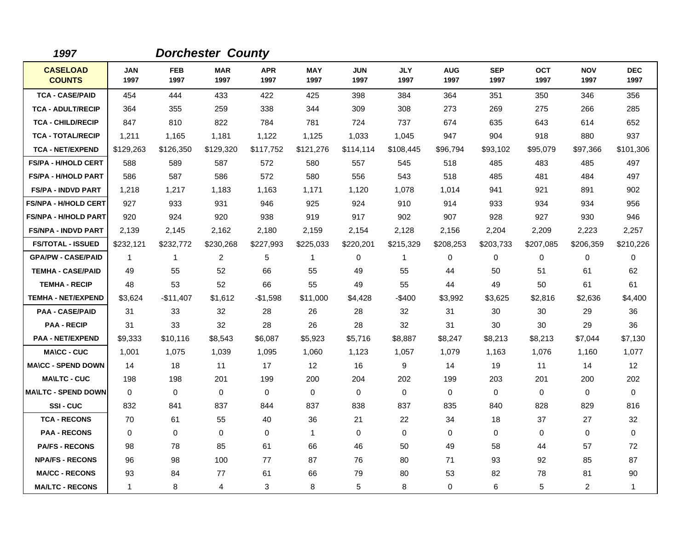| 1997                             |                    |                    | <b>Dorchester County</b> |                    |                    |                    |                    |                    |                    |                    |                    |                    |
|----------------------------------|--------------------|--------------------|--------------------------|--------------------|--------------------|--------------------|--------------------|--------------------|--------------------|--------------------|--------------------|--------------------|
| <b>CASELOAD</b><br><b>COUNTS</b> | <b>JAN</b><br>1997 | <b>FEB</b><br>1997 | <b>MAR</b><br>1997       | <b>APR</b><br>1997 | <b>MAY</b><br>1997 | <b>JUN</b><br>1997 | <b>JLY</b><br>1997 | <b>AUG</b><br>1997 | <b>SEP</b><br>1997 | <b>OCT</b><br>1997 | <b>NOV</b><br>1997 | <b>DEC</b><br>1997 |
| <b>TCA - CASE/PAID</b>           | 454                | 444                | 433                      | 422                | 425                | 398                | 384                | 364                | 351                | 350                | 346                | 356                |
| <b>TCA - ADULT/RECIP</b>         | 364                | 355                | 259                      | 338                | 344                | 309                | 308                | 273                | 269                | 275                | 266                | 285                |
| <b>TCA - CHILD/RECIP</b>         | 847                | 810                | 822                      | 784                | 781                | 724                | 737                | 674                | 635                | 643                | 614                | 652                |
| <b>TCA - TOTAL/RECIP</b>         | 1,211              | 1,165              | 1,181                    | 1,122              | 1,125              | 1,033              | 1,045              | 947                | 904                | 918                | 880                | 937                |
| <b>TCA - NET/EXPEND</b>          | \$129,263          | \$126,350          | \$129,320                | \$117,752          | \$121,276          | \$114,114          | \$108,445          | \$96,794           | \$93,102           | \$95,079           | \$97,366           | \$101,306          |
| <b>FS/PA - H/HOLD CERT</b>       | 588                | 589                | 587                      | 572                | 580                | 557                | 545                | 518                | 485                | 483                | 485                | 497                |
| <b>FS/PA - H/HOLD PART</b>       | 586                | 587                | 586                      | 572                | 580                | 556                | 543                | 518                | 485                | 481                | 484                | 497                |
| <b>FS/PA - INDVD PART</b>        | 1,218              | 1,217              | 1,183                    | 1,163              | 1,171              | 1,120              | 1,078              | 1,014              | 941                | 921                | 891                | 902                |
| <b>FS/NPA - H/HOLD CERT</b>      | 927                | 933                | 931                      | 946                | 925                | 924                | 910                | 914                | 933                | 934                | 934                | 956                |
| <b>FS/NPA - H/HOLD PART</b>      | 920                | 924                | 920                      | 938                | 919                | 917                | 902                | 907                | 928                | 927                | 930                | 946                |
| <b>FS/NPA - INDVD PART</b>       | 2,139              | 2,145              | 2,162                    | 2,180              | 2,159              | 2,154              | 2,128              | 2,156              | 2,204              | 2,209              | 2,223              | 2,257              |
| <b>FS/TOTAL - ISSUED</b>         | \$232,121          | \$232,772          | \$230,268                | \$227,993          | \$225,033          | \$220,201          | \$215,329          | \$208,253          | \$203,733          | \$207,085          | \$206,359          | \$210,226          |
| <b>GPA/PW - CASE/PAID</b>        | $\mathbf{1}$       | $\mathbf{1}$       | $\overline{2}$           | 5                  | 1                  | 0                  | 1                  | 0                  | 0                  | 0                  | 0                  | 0                  |
| <b>TEMHA - CASE/PAID</b>         | 49                 | 55                 | 52                       | 66                 | 55                 | 49                 | 55                 | 44                 | 50                 | 51                 | 61                 | 62                 |
| <b>TEMHA - RECIP</b>             | 48                 | 53                 | 52                       | 66                 | 55                 | 49                 | 55                 | 44                 | 49                 | 50                 | 61                 | 61                 |
| <b>TEMHA - NET/EXPEND</b>        | \$3,624            | $-$11,407$         | \$1,612                  | $-$1,598$          | \$11,000           | \$4,428            | -\$400             | \$3,992            | \$3,625            | \$2,816            | \$2,636            | \$4,400            |
| <b>PAA - CASE/PAID</b>           | 31                 | 33                 | 32                       | 28                 | 26                 | 28                 | 32                 | 31                 | 30                 | 30                 | 29                 | 36                 |
| <b>PAA - RECIP</b>               | 31                 | 33                 | 32                       | 28                 | 26                 | 28                 | 32                 | 31                 | 30                 | 30                 | 29                 | 36                 |
| <b>PAA - NET/EXPEND</b>          | \$9,333            | \$10,116           | \$8,543                  | \$6,087            | \$5,923            | \$5,716            | \$8,887            | \$8,247            | \$8,213            | \$8,213            | \$7,044            | \$7,130            |
| <b>MA\CC - CUC</b>               | 1,001              | 1,075              | 1,039                    | 1,095              | 1,060              | 1,123              | 1,057              | 1,079              | 1,163              | 1,076              | 1,160              | 1,077              |
| <b>MA\CC - SPEND DOWN</b>        | 14                 | 18                 | 11                       | 17                 | 12                 | 16                 | 9                  | 14                 | 19                 | 11                 | 14                 | 12                 |
| <b>MAILTC - CUC</b>              | 198                | 198                | 201                      | 199                | 200                | 204                | 202                | 199                | 203                | 201                | 200                | 202                |
| <b>MAILTC - SPEND DOWN</b>       | 0                  | 0                  | $\mathbf 0$              | 0                  | 0                  | 0                  | 0                  | $\mathbf 0$        | $\Omega$           | $\Omega$           | 0                  | $\mathbf 0$        |
| SSI-CUC                          | 832                | 841                | 837                      | 844                | 837                | 838                | 837                | 835                | 840                | 828                | 829                | 816                |
| <b>TCA - RECONS</b>              | 70                 | 61                 | 55                       | 40                 | 36                 | 21                 | 22                 | 34                 | 18                 | 37                 | 27                 | 32                 |
| <b>PAA - RECONS</b>              | $\Omega$           | 0                  | $\mathbf 0$              | 0                  | 1                  | $\mathbf 0$        | 0                  | 0                  | $\mathbf 0$        | 0                  | $\mathbf 0$        | 0                  |
| <b>PA/FS - RECONS</b>            | 98                 | 78                 | 85                       | 61                 | 66                 | 46                 | 50                 | 49                 | 58                 | 44                 | 57                 | 72                 |
| <b>NPA/FS - RECONS</b>           | 96                 | 98                 | 100                      | 77                 | 87                 | 76                 | 80                 | 71                 | 93                 | 92                 | 85                 | 87                 |
| <b>MA/CC - RECONS</b>            | 93                 | 84                 | 77                       | 61                 | 66                 | 79                 | 80                 | 53                 | 82                 | 78                 | 81                 | 90                 |
| <b>MA/LTC - RECONS</b>           | $\mathbf{1}$       | 8                  | 4                        | 3                  | 8                  | 5                  | 8                  | 0                  | 6                  | 5                  | $\overline{2}$     | $\mathbf{1}$       |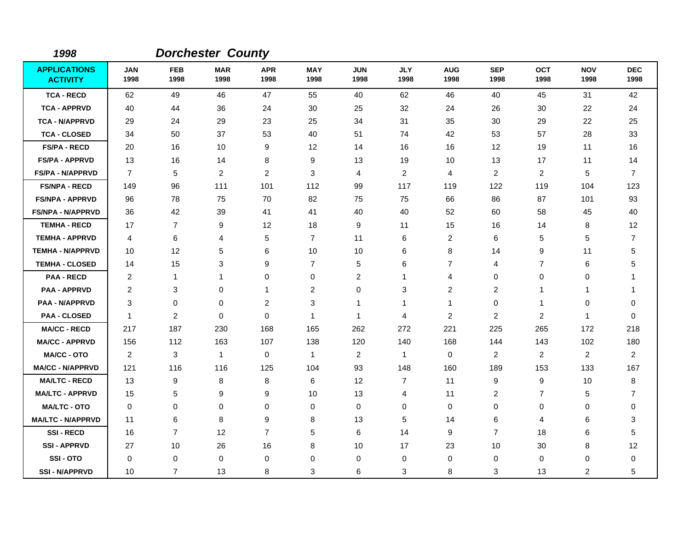| 1998                                   |                    |                    | <b>Dorchester County</b> |                    |                         |                    |                    |                    |                    |                    |                    |                    |
|----------------------------------------|--------------------|--------------------|--------------------------|--------------------|-------------------------|--------------------|--------------------|--------------------|--------------------|--------------------|--------------------|--------------------|
| <b>APPLICATIONS</b><br><b>ACTIVITY</b> | <b>JAN</b><br>1998 | <b>FEB</b><br>1998 | <b>MAR</b><br>1998       | <b>APR</b><br>1998 | <b>MAY</b><br>1998      | <b>JUN</b><br>1998 | <b>JLY</b><br>1998 | <b>AUG</b><br>1998 | <b>SEP</b><br>1998 | <b>OCT</b><br>1998 | <b>NOV</b><br>1998 | <b>DEC</b><br>1998 |
| <b>TCA - RECD</b>                      | 62                 | 49                 | 46                       | 47                 | 55                      | 40                 | 62                 | 46                 | 40                 | 45                 | 31                 | 42                 |
| <b>TCA - APPRVD</b>                    | 40                 | 44                 | 36                       | 24                 | 30                      | 25                 | 32                 | 24                 | 26                 | 30                 | 22                 | 24                 |
| <b>TCA - N/APPRVD</b>                  | 29                 | 24                 | 29                       | 23                 | 25                      | 34                 | 31                 | 35                 | 30                 | 29                 | 22                 | 25                 |
| <b>TCA - CLOSED</b>                    | 34                 | 50                 | 37                       | 53                 | 40                      | 51                 | 74                 | 42                 | 53                 | 57                 | 28                 | 33                 |
| <b>FS/PA - RECD</b>                    | 20                 | 16                 | 10                       | 9                  | 12                      | 14                 | 16                 | 16                 | $12 \overline{ }$  | 19                 | 11                 | 16                 |
| <b>FS/PA - APPRVD</b>                  | 13                 | 16                 | 14                       | 8                  | 9                       | 13                 | 19                 | 10                 | 13                 | 17                 | 11                 | 14                 |
| <b>FS/PA - N/APPRVD</b>                | $\overline{7}$     | 5                  | $\overline{c}$           | $\overline{2}$     | 3                       | 4                  | $\overline{c}$     | 4                  | 2                  | $\overline{c}$     | 5                  | $\overline{7}$     |
| <b>FS/NPA - RECD</b>                   | 149                | 96                 | 111                      | 101                | 112                     | 99                 | 117                | 119                | 122                | 119                | 104                | 123                |
| <b>FS/NPA - APPRVD</b>                 | 96                 | 78                 | 75                       | 70                 | 82                      | 75                 | 75                 | 66                 | 86                 | 87                 | 101                | 93                 |
| <b>FS/NPA - N/APPRVD</b>               | 36                 | 42                 | 39                       | 41                 | 41                      | 40                 | 40                 | 52                 | 60                 | 58                 | 45                 | 40                 |
| <b>TEMHA - RECD</b>                    | 17                 | $\overline{7}$     | 9                        | 12                 | 18                      | 9                  | 11                 | 15                 | 16                 | 14                 | 8                  | 12                 |
| <b>TEMHA - APPRVD</b>                  | 4                  | 6                  | 4                        | 5                  | $\overline{7}$          | 11                 | 6                  | 2                  | 6                  | 5                  | 5                  | $\overline{7}$     |
| <b>TEMHA - N/APPRVD</b>                | 10                 | 12                 | 5                        | 6                  | 10                      | 10                 | 6                  | 8                  | 14                 | 9                  | 11                 | 5                  |
| <b>TEMHA - CLOSED</b>                  | 14                 | 15                 | 3                        | 9                  | $\overline{7}$          | 5                  | 6                  | $\overline{7}$     | $\overline{4}$     | $\overline{7}$     | 6                  | 5                  |
| <b>PAA - RECD</b>                      | 2                  | $\mathbf{1}$       | 1                        | 0                  | 0                       | $\overline{c}$     | 1                  | 4                  | $\mathbf 0$        | 0                  | 0                  | 1                  |
| <b>PAA - APPRVD</b>                    | $\overline{c}$     | 3                  | 0                        | 1                  | $\overline{\mathbf{c}}$ | $\mathbf 0$        | 3                  | $\overline{c}$     | $\overline{c}$     | 1                  | -1                 | -1                 |
| <b>PAA - N/APPRVD</b>                  | 3                  | $\mathbf 0$        | 0                        | $\overline{2}$     | 3                       | 1                  | $\mathbf 1$        | $\mathbf{1}$       | 0                  | 1                  | 0                  | 0                  |
| <b>PAA - CLOSED</b>                    | -1                 | $\overline{c}$     | $\Omega$                 | $\mathbf 0$        | $\mathbf{1}$            | $\mathbf{1}$       | 4                  | $\overline{c}$     | $\overline{2}$     | $\overline{c}$     | -1                 | $\Omega$           |
| <b>MA/CC - RECD</b>                    | 217                | 187                | 230                      | 168                | 165                     | 262                | 272                | 221                | 225                | 265                | 172                | 218                |
| <b>MA/CC - APPRVD</b>                  | 156                | 112                | 163                      | 107                | 138                     | 120                | 140                | 168                | 144                | 143                | 102                | 180                |
| <b>MA/CC - OTO</b>                     | 2                  | 3                  | $\mathbf{1}$             | 0                  | $\mathbf{1}$            | $\overline{2}$     | $\mathbf{1}$       | 0                  | 2                  | 2                  | $\overline{a}$     | $\overline{2}$     |
| <b>MA/CC - N/APPRVD</b>                | 121                | 116                | 116                      | 125                | 104                     | 93                 | 148                | 160                | 189                | 153                | 133                | 167                |
| <b>MA/LTC - RECD</b>                   | 13                 | 9                  | 8                        | 8                  | 6                       | 12                 | $\overline{7}$     | 11                 | 9                  | 9                  | 10                 | 8                  |
| <b>MA/LTC - APPRVD</b>                 | 15                 | 5                  | 9                        | 9                  | 10                      | 13                 | 4                  | 11                 | 2                  | $\overline{7}$     | 5                  | $\overline{7}$     |
| <b>MA/LTC - OTO</b>                    | $\mathbf 0$        | 0                  | 0                        | 0                  | 0                       | $\mathbf 0$        | 0                  | 0                  | 0                  | 0                  | 0                  | 0                  |
| <b>MA/LTC - N/APPRVD</b>               | 11                 | 6                  | 8                        | 9                  | 8                       | 13                 | 5                  | 14                 | 6                  | 4                  | 6                  | 3                  |
| <b>SSI-RECD</b>                        | 16                 | $\overline{7}$     | 12                       | $\overline{7}$     | 5                       | 6                  | 14                 | 9                  | $\overline{7}$     | 18                 | 6                  | 5                  |
| <b>SSI-APPRVD</b>                      | 27                 | 10                 | 26                       | 16                 | 8                       | 10                 | 17                 | 23                 | 10                 | 30                 | 8                  | 12                 |
| SSI-OTO                                | $\mathbf 0$        | 0                  | 0                        | 0                  | 0                       | 0                  | 0                  | 0                  | 0                  | 0                  | 0                  | 0                  |
| <b>SSI - N/APPRVD</b>                  | 10                 | $\overline{7}$     | 13                       | 8                  | 3                       | 6                  | 3                  | 8                  | 3                  | 13                 | $\overline{2}$     | 5                  |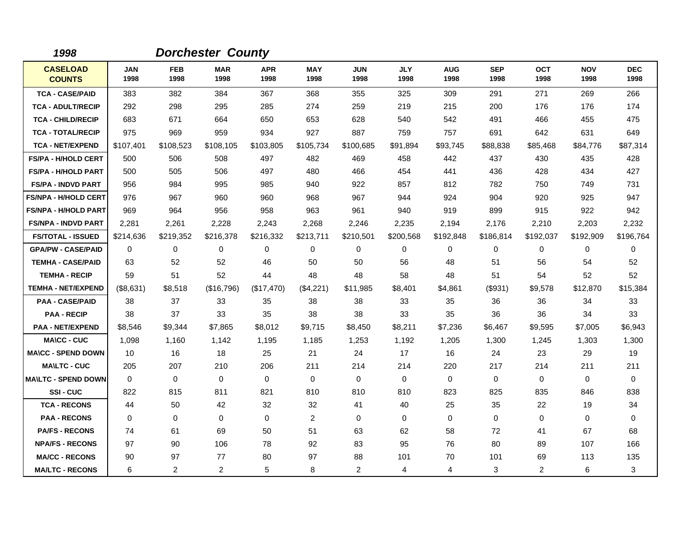| 1998                             |                    |                    | <b>Dorchester County</b> |                    |                    |                    |                    |                    |                    |                    |                    |                    |
|----------------------------------|--------------------|--------------------|--------------------------|--------------------|--------------------|--------------------|--------------------|--------------------|--------------------|--------------------|--------------------|--------------------|
| <b>CASELOAD</b><br><b>COUNTS</b> | <b>JAN</b><br>1998 | <b>FEB</b><br>1998 | <b>MAR</b><br>1998       | <b>APR</b><br>1998 | <b>MAY</b><br>1998 | <b>JUN</b><br>1998 | <b>JLY</b><br>1998 | <b>AUG</b><br>1998 | <b>SEP</b><br>1998 | <b>OCT</b><br>1998 | <b>NOV</b><br>1998 | <b>DEC</b><br>1998 |
| <b>TCA - CASE/PAID</b>           | 383                | 382                | 384                      | 367                | 368                | 355                | 325                | 309                | 291                | 271                | 269                | 266                |
| <b>TCA - ADULT/RECIP</b>         | 292                | 298                | 295                      | 285                | 274                | 259                | 219                | 215                | 200                | 176                | 176                | 174                |
| <b>TCA - CHILD/RECIP</b>         | 683                | 671                | 664                      | 650                | 653                | 628                | 540                | 542                | 491                | 466                | 455                | 475                |
| <b>TCA - TOTAL/RECIP</b>         | 975                | 969                | 959                      | 934                | 927                | 887                | 759                | 757                | 691                | 642                | 631                | 649                |
| <b>TCA - NET/EXPEND</b>          | \$107,401          | \$108,523          | \$108,105                | \$103,805          | \$105,734          | \$100,685          | \$91,894           | \$93,745           | \$88,838           | \$85,468           | \$84,776           | \$87,314           |
| <b>FS/PA - H/HOLD CERT</b>       | 500                | 506                | 508                      | 497                | 482                | 469                | 458                | 442                | 437                | 430                | 435                | 428                |
| <b>FS/PA - H/HOLD PART</b>       | 500                | 505                | 506                      | 497                | 480                | 466                | 454                | 441                | 436                | 428                | 434                | 427                |
| <b>FS/PA - INDVD PART</b>        | 956                | 984                | 995                      | 985                | 940                | 922                | 857                | 812                | 782                | 750                | 749                | 731                |
| <b>FS/NPA - H/HOLD CERT</b>      | 976                | 967                | 960                      | 960                | 968                | 967                | 944                | 924                | 904                | 920                | 925                | 947                |
| <b>FS/NPA - H/HOLD PART</b>      | 969                | 964                | 956                      | 958                | 963                | 961                | 940                | 919                | 899                | 915                | 922                | 942                |
| <b>FS/NPA - INDVD PART</b>       | 2,281              | 2,261              | 2,228                    | 2,243              | 2,268              | 2,246              | 2,235              | 2,194              | 2,176              | 2,210              | 2,203              | 2,232              |
| <b>FS/TOTAL - ISSUED</b>         | \$214,636          | \$219,352          | \$216,378                | \$216,332          | \$213,711          | \$210,501          | \$200,568          | \$192,848          | \$186,814          | \$192,037          | \$192,909          | \$196,764          |
| <b>GPA/PW - CASE/PAID</b>        | $\Omega$           | $\Omega$           | $\Omega$                 | 0                  | 0                  | $\Omega$           | 0                  | 0                  | $\Omega$           | $\Omega$           | 0                  | $\Omega$           |
| <b>TEMHA - CASE/PAID</b>         | 63                 | 52                 | 52                       | 46                 | 50                 | 50                 | 56                 | 48                 | 51                 | 56                 | 54                 | 52                 |
| <b>TEMHA - RECIP</b>             | 59                 | 51                 | 52                       | 44                 | 48                 | 48                 | 58                 | 48                 | 51                 | 54                 | 52                 | 52                 |
| <b>TEMHA - NET/EXPEND</b>        | (\$8,631)          | \$8,518            | (\$16,796)               | (\$17,470)         | (\$4,221)          | \$11,985           | \$8,401            | \$4,861            | (\$931)            | \$9,578            | \$12,870           | \$15,384           |
| <b>PAA - CASE/PAID</b>           | 38                 | 37                 | 33                       | 35                 | 38                 | 38                 | 33                 | 35                 | 36                 | 36                 | 34                 | 33                 |
| <b>PAA - RECIP</b>               | 38                 | 37                 | 33                       | 35                 | 38                 | 38                 | 33                 | 35                 | 36                 | 36                 | 34                 | 33                 |
| <b>PAA - NET/EXPEND</b>          | \$8,546            | \$9,344            | \$7,865                  | \$8,012            | \$9,715            | \$8,450            | \$8,211            | \$7,236            | \$6,467            | \$9,595            | \$7,005            | \$6,943            |
| <b>MA\CC - CUC</b>               | 1,098              | 1,160              | 1,142                    | 1,195              | 1,185              | 1,253              | 1,192              | 1,205              | 1,300              | 1,245              | 1,303              | 1,300              |
| <b>MA\CC - SPEND DOWN</b>        | 10                 | 16                 | 18                       | 25                 | 21                 | 24                 | 17                 | 16                 | 24                 | 23                 | 29                 | 19                 |
| <b>MA\LTC - CUC</b>              | 205                | 207                | 210                      | 206                | 211                | 214                | 214                | 220                | 217                | 214                | 211                | 211                |
| <b>MA\LTC - SPEND DOWN</b>       | $\Omega$           | $\Omega$           | $\mathbf{0}$             | $\Omega$           | $\mathbf 0$        | $\Omega$           | $\Omega$           | 0                  | $\Omega$           | $\Omega$           | $\mathbf 0$        | $\Omega$           |
| SSI-CUC                          | 822                | 815                | 811                      | 821                | 810                | 810                | 810                | 823                | 825                | 835                | 846                | 838                |
| <b>TCA - RECONS</b>              | 44                 | 50                 | 42                       | 32                 | 32                 | 41                 | 40                 | 25                 | 35                 | 22                 | 19                 | 34                 |
| <b>PAA - RECONS</b>              | $\Omega$           | $\Omega$           | $\mathbf{0}$             | $\Omega$           | 2                  | $\Omega$           | $\Omega$           | 0                  | $\Omega$           | $\Omega$           | $\Omega$           | 0                  |
| <b>PA/FS - RECONS</b>            | 74                 | 61                 | 69                       | 50                 | 51                 | 63                 | 62                 | 58                 | 72                 | 41                 | 67                 | 68                 |
| <b>NPA/FS - RECONS</b>           | 97                 | 90                 | 106                      | 78                 | 92                 | 83                 | 95                 | 76                 | 80                 | 89                 | 107                | 166                |
| <b>MA/CC - RECONS</b>            | 90                 | 97                 | 77                       | 80                 | 97                 | 88                 | 101                | 70                 | 101                | 69                 | 113                | 135                |
| <b>MA/LTC - RECONS</b>           | 6                  | $\overline{2}$     | $\overline{2}$           | 5                  | 8                  | 2                  | 4                  | 4                  | 3                  | $\overline{2}$     | 6                  | $\mathbf{3}$       |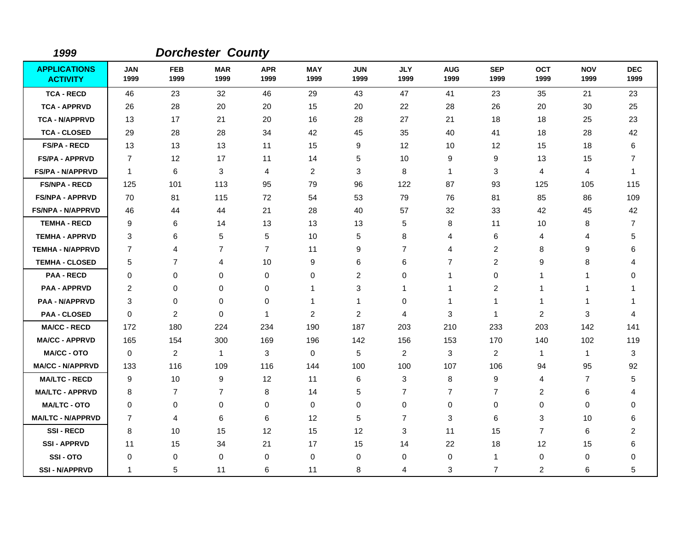| 1999                                   |                    |                    | <b>Dorchester County</b> |                    |                    |                    |                    |                    |                    |                    |                    |                    |
|----------------------------------------|--------------------|--------------------|--------------------------|--------------------|--------------------|--------------------|--------------------|--------------------|--------------------|--------------------|--------------------|--------------------|
| <b>APPLICATIONS</b><br><b>ACTIVITY</b> | <b>JAN</b><br>1999 | <b>FEB</b><br>1999 | <b>MAR</b><br>1999       | <b>APR</b><br>1999 | <b>MAY</b><br>1999 | <b>JUN</b><br>1999 | <b>JLY</b><br>1999 | <b>AUG</b><br>1999 | <b>SEP</b><br>1999 | <b>OCT</b><br>1999 | <b>NOV</b><br>1999 | <b>DEC</b><br>1999 |
| <b>TCA - RECD</b>                      | 46                 | 23                 | 32                       | 46                 | 29                 | 43                 | 47                 | 41                 | 23                 | 35                 | 21                 | 23                 |
| <b>TCA - APPRVD</b>                    | 26                 | 28                 | 20                       | 20                 | 15                 | 20                 | 22                 | 28                 | 26                 | 20                 | 30                 | 25                 |
| <b>TCA - N/APPRVD</b>                  | 13                 | 17                 | 21                       | 20                 | 16                 | 28                 | 27                 | 21                 | 18                 | 18                 | 25                 | 23                 |
| <b>TCA - CLOSED</b>                    | 29                 | 28                 | 28                       | 34                 | 42                 | 45                 | 35                 | 40                 | 41                 | 18                 | 28                 | 42                 |
| <b>FS/PA - RECD</b>                    | 13                 | 13                 | 13                       | 11                 | 15                 | 9                  | 12                 | 10                 | 12                 | 15                 | 18                 | 6                  |
| <b>FS/PA - APPRVD</b>                  | $\overline{7}$     | 12                 | 17                       | 11                 | 14                 | 5                  | 10                 | 9                  | 9                  | 13                 | 15                 | 7                  |
| <b>FS/PA - N/APPRVD</b>                | $\mathbf{1}$       | 6                  | 3                        | 4                  | $\overline{2}$     | 3                  | 8                  | $\overline{1}$     | 3                  | 4                  | 4                  | $\mathbf 1$        |
| <b>FS/NPA - RECD</b>                   | 125                | 101                | 113                      | 95                 | 79                 | 96                 | 122                | 87                 | 93                 | 125                | 105                | 115                |
| <b>FS/NPA - APPRVD</b>                 | 70                 | 81                 | 115                      | 72                 | 54                 | 53                 | 79                 | 76                 | 81                 | 85                 | 86                 | 109                |
| <b>FS/NPA - N/APPRVD</b>               | 46                 | 44                 | 44                       | 21                 | 28                 | 40                 | 57                 | 32                 | 33                 | 42                 | 45                 | 42                 |
| <b>TEMHA - RECD</b>                    | 9                  | 6                  | 14                       | 13                 | 13                 | 13                 | 5                  | 8                  | 11                 | 10                 | 8                  | 7                  |
| <b>TEMHA - APPRVD</b>                  | 3                  | 6                  | 5                        | 5                  | 10                 | 5                  | 8                  | 4                  | 6                  | 4                  | 4                  | 5                  |
| <b>TEMHA - N/APPRVD</b>                | 7                  | 4                  | $\overline{7}$           | $\overline{7}$     | 11                 | 9                  | $\overline{7}$     | 4                  | $\overline{c}$     | 8                  | 9                  | 6                  |
| <b>TEMHA - CLOSED</b>                  | 5                  | $\overline{7}$     | 4                        | 10                 | 9                  | 6                  | 6                  | 7                  | 2                  | 9                  | 8                  | Δ                  |
| <b>PAA - RECD</b>                      | 0                  | 0                  | 0                        | 0                  | $\mathbf 0$        | $\overline{c}$     | 0                  | $\mathbf{1}$       | $\mathbf 0$        | 1                  | 1                  | $\mathbf 0$        |
| <b>PAA - APPRVD</b>                    | 2                  | 0                  | 0                        | 0                  | 1                  | 3                  | 1                  | $\mathbf 1$        | $\overline{c}$     | 1                  | 1                  |                    |
| <b>PAA - N/APPRVD</b>                  | 3                  | 0                  | 0                        | 0                  | 1                  | 1                  | 0                  | $\mathbf 1$        | 1                  | 1                  | 1                  | 1                  |
| <b>PAA - CLOSED</b>                    | 0                  | $\overline{c}$     | $\mathbf 0$              | $\mathbf{1}$       | $\overline{2}$     | $\overline{c}$     | 4                  | 3                  | $\mathbf{1}$       | 2                  | 3                  | $\overline{4}$     |
| <b>MA/CC - RECD</b>                    | 172                | 180                | 224                      | 234                | 190                | 187                | 203                | 210                | 233                | 203                | 142                | 141                |
| <b>MA/CC - APPRVD</b>                  | 165                | 154                | 300                      | 169                | 196                | 142                | 156                | 153                | 170                | 140                | 102                | 119                |
| <b>MA/CC - OTO</b>                     | $\mathbf 0$        | $\overline{2}$     | $\mathbf{1}$             | 3                  | 0                  | 5                  | $\overline{2}$     | 3                  | $\overline{c}$     | $\mathbf{1}$       | $\mathbf{1}$       | 3                  |
| <b>MA/CC - N/APPRVD</b>                | 133                | 116                | 109                      | 116                | 144                | 100                | 100                | 107                | 106                | 94                 | 95                 | 92                 |
| <b>MA/LTC - RECD</b>                   | 9                  | 10                 | 9                        | 12                 | 11                 | 6                  | 3                  | 8                  | 9                  | 4                  | 7                  | 5                  |
| <b>MA/LTC - APPRVD</b>                 | 8                  | $\overline{7}$     | $\overline{7}$           | 8                  | 14                 | 5                  | $\overline{7}$     | $\overline{7}$     | $\overline{7}$     | 2                  | 6                  | $\overline{4}$     |
| <b>MA/LTC - OTO</b>                    | 0                  | $\mathbf 0$        | $\mathbf 0$              | 0                  | 0                  | 0                  | $\mathbf 0$        | $\mathbf 0$        | $\mathbf 0$        | $\mathbf 0$        | 0                  | 0                  |
| <b>MA/LTC - N/APPRVD</b>               | 7                  | 4                  | 6                        | 6                  | 12                 | 5                  | $\overline{7}$     | 3                  | 6                  | 3                  | 10                 | 6                  |
| <b>SSI-RECD</b>                        | 8                  | 10                 | 15                       | 12                 | 15                 | 12                 | 3                  | 11                 | 15                 | $\overline{7}$     | 6                  | $\overline{2}$     |
| <b>SSI-APPRVD</b>                      | 11                 | 15                 | 34                       | 21                 | 17                 | 15                 | 14                 | 22                 | 18                 | 12                 | 15                 | 6                  |
| SSI-OTO                                | 0                  | 0                  | $\mathbf{0}$             | 0                  | 0                  | 0                  | 0                  | 0                  | $\mathbf{1}$       | 0                  | 0                  | $\Omega$           |
| <b>SSI - N/APPRVD</b>                  | 1                  | 5                  | 11                       | 6                  | 11                 | 8                  | 4                  | 3                  | $\overline{7}$     | 2                  | 6                  | 5                  |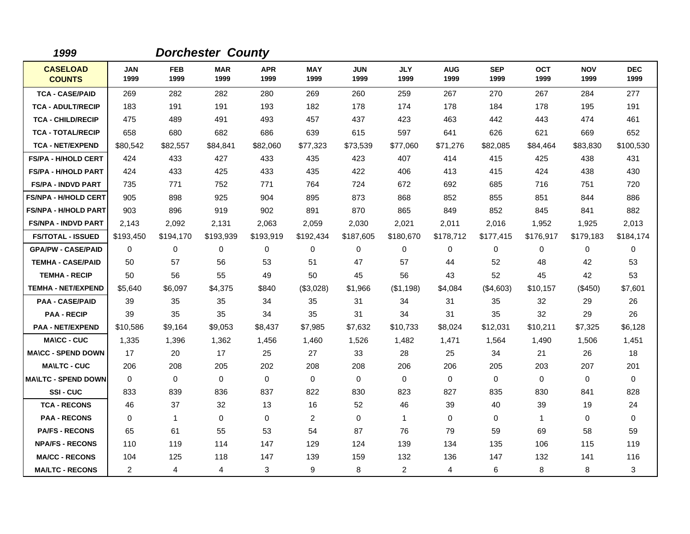| 1999                             |                    |                    | <b>Dorchester County</b> |                    |                    |                    |                    |                    |                    |                    |                    |                    |
|----------------------------------|--------------------|--------------------|--------------------------|--------------------|--------------------|--------------------|--------------------|--------------------|--------------------|--------------------|--------------------|--------------------|
| <b>CASELOAD</b><br><b>COUNTS</b> | <b>JAN</b><br>1999 | <b>FEB</b><br>1999 | <b>MAR</b><br>1999       | <b>APR</b><br>1999 | <b>MAY</b><br>1999 | <b>JUN</b><br>1999 | <b>JLY</b><br>1999 | <b>AUG</b><br>1999 | <b>SEP</b><br>1999 | <b>OCT</b><br>1999 | <b>NOV</b><br>1999 | <b>DEC</b><br>1999 |
| <b>TCA - CASE/PAID</b>           | 269                | 282                | 282                      | 280                | 269                | 260                | 259                | 267                | 270                | 267                | 284                | 277                |
| <b>TCA - ADULT/RECIP</b>         | 183                | 191                | 191                      | 193                | 182                | 178                | 174                | 178                | 184                | 178                | 195                | 191                |
| <b>TCA - CHILD/RECIP</b>         | 475                | 489                | 491                      | 493                | 457                | 437                | 423                | 463                | 442                | 443                | 474                | 461                |
| <b>TCA - TOTAL/RECIP</b>         | 658                | 680                | 682                      | 686                | 639                | 615                | 597                | 641                | 626                | 621                | 669                | 652                |
| <b>TCA - NET/EXPEND</b>          | \$80,542           | \$82,557           | \$84,841                 | \$82,060           | \$77,323           | \$73,539           | \$77,060           | \$71,276           | \$82,085           | \$84,464           | \$83,830           | \$100,530          |
| <b>FS/PA - H/HOLD CERT</b>       | 424                | 433                | 427                      | 433                | 435                | 423                | 407                | 414                | 415                | 425                | 438                | 431                |
| <b>FS/PA - H/HOLD PART</b>       | 424                | 433                | 425                      | 433                | 435                | 422                | 406                | 413                | 415                | 424                | 438                | 430                |
| <b>FS/PA - INDVD PART</b>        | 735                | 771                | 752                      | 771                | 764                | 724                | 672                | 692                | 685                | 716                | 751                | 720                |
| <b>FS/NPA - H/HOLD CERT</b>      | 905                | 898                | 925                      | 904                | 895                | 873                | 868                | 852                | 855                | 851                | 844                | 886                |
| <b>FS/NPA - H/HOLD PART</b>      | 903                | 896                | 919                      | 902                | 891                | 870                | 865                | 849                | 852                | 845                | 841                | 882                |
| <b>FS/NPA - INDVD PART</b>       | 2,143              | 2,092              | 2,131                    | 2,063              | 2,059              | 2,030              | 2,021              | 2,011              | 2,016              | 1,952              | 1,925              | 2,013              |
| <b>FS/TOTAL - ISSUED</b>         | \$193,450          | \$194,170          | \$193,939                | \$193,919          | \$192,434          | \$187,605          | \$180,670          | \$178,712          | \$177,415          | \$176,917          | \$179,183          | \$184,174          |
| <b>GPA/PW - CASE/PAID</b>        | 0                  | 0                  | 0                        | 0                  | 0                  | 0                  | 0                  | 0                  | 0                  | 0                  | 0                  | 0                  |
| <b>TEMHA - CASE/PAID</b>         | 50                 | 57                 | 56                       | 53                 | 51                 | 47                 | 57                 | 44                 | 52                 | 48                 | 42                 | 53                 |
| <b>TEMHA - RECIP</b>             | 50                 | 56                 | 55                       | 49                 | 50                 | 45                 | 56                 | 43                 | 52                 | 45                 | 42                 | 53                 |
| <b>TEMHA - NET/EXPEND</b>        | \$5,640            | \$6,097            | \$4,375                  | \$840              | (\$3,028)          | \$1,966            | (\$1,198)          | \$4,084            | (\$4,603)          | \$10,157           | (\$450)            | \$7,601            |
| <b>PAA - CASE/PAID</b>           | 39                 | 35                 | 35                       | 34                 | 35                 | 31                 | 34                 | 31                 | 35                 | 32                 | 29                 | 26                 |
| <b>PAA - RECIP</b>               | 39                 | 35                 | 35                       | 34                 | 35                 | 31                 | 34                 | 31                 | 35                 | 32                 | 29                 | 26                 |
| <b>PAA - NET/EXPEND</b>          | \$10,586           | \$9,164            | \$9,053                  | \$8,437            | \$7,985            | \$7,632            | \$10,733           | \$8,024            | \$12,031           | \$10,211           | \$7,325            | \$6,128            |
| <b>MA\CC - CUC</b>               | 1,335              | 1,396              | 1,362                    | 1,456              | 1,460              | 1,526              | 1,482              | 1,471              | 1,564              | 1,490              | 1,506              | 1,451              |
| <b>MA\CC - SPEND DOWN</b>        | 17                 | 20                 | 17                       | 25                 | 27                 | 33                 | 28                 | 25                 | 34                 | 21                 | 26                 | 18                 |
| <b>MAILTC - CUC</b>              | 206                | 208                | 205                      | 202                | 208                | 208                | 206                | 206                | 205                | 203                | 207                | 201                |
| <b>MAILTC - SPEND DOWN</b>       | $\mathbf 0$        | 0                  | $\mathbf 0$              | $\mathbf 0$        | $\mathbf 0$        | $\mathbf 0$        | $\mathbf 0$        | 0                  | $\mathbf 0$        | 0                  | $\mathbf 0$        | $\mathbf 0$        |
| SSI-CUC                          | 833                | 839                | 836                      | 837                | 822                | 830                | 823                | 827                | 835                | 830                | 841                | 828                |
| <b>TCA - RECONS</b>              | 46                 | 37                 | 32                       | 13                 | 16                 | 52                 | 46                 | 39                 | 40                 | 39                 | 19                 | 24                 |
| <b>PAA - RECONS</b>              | 0                  | 1                  | $\mathbf 0$              | 0                  | $\overline{2}$     | $\mathbf 0$        | $\mathbf{1}$       | 0                  | $\mathbf 0$        | $\mathbf{1}$       | 0                  | $\mathbf 0$        |
| <b>PA/FS - RECONS</b>            | 65                 | 61                 | 55                       | 53                 | 54                 | 87                 | 76                 | 79                 | 59                 | 69                 | 58                 | 59                 |
| <b>NPA/FS - RECONS</b>           | 110                | 119                | 114                      | 147                | 129                | 124                | 139                | 134                | 135                | 106                | 115                | 119                |
| <b>MA/CC - RECONS</b>            | 104                | 125                | 118                      | 147                | 139                | 159                | 132                | 136                | 147                | 132                | 141                | 116                |
| <b>MA/LTC - RECONS</b>           | $\overline{2}$     | 4                  | 4                        | 3                  | 9                  | 8                  | $\overline{2}$     | 4                  | 6                  | 8                  | 8                  | 3                  |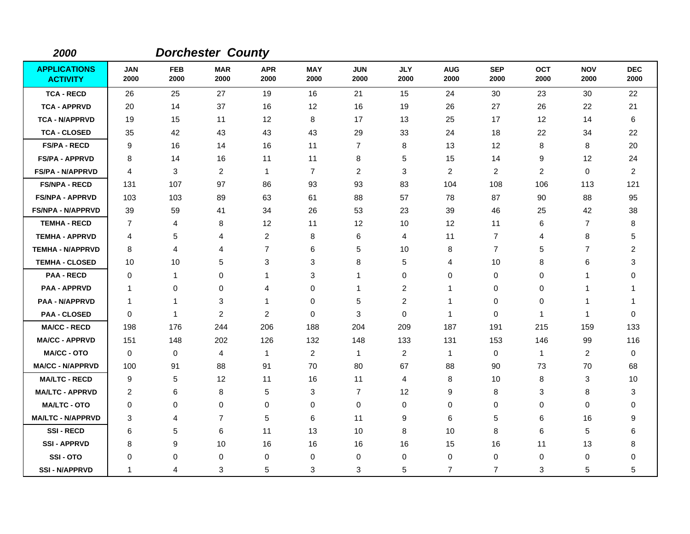| 2000                                   |                    |                    | <b>Dorchester County</b> |                    |                    |                    |                         |                    |                    |                |                    |                    |
|----------------------------------------|--------------------|--------------------|--------------------------|--------------------|--------------------|--------------------|-------------------------|--------------------|--------------------|----------------|--------------------|--------------------|
| <b>APPLICATIONS</b><br><b>ACTIVITY</b> | <b>JAN</b><br>2000 | <b>FEB</b><br>2000 | <b>MAR</b><br>2000       | <b>APR</b><br>2000 | <b>MAY</b><br>2000 | <b>JUN</b><br>2000 | <b>JLY</b><br>2000      | <b>AUG</b><br>2000 | <b>SEP</b><br>2000 | OCT<br>2000    | <b>NOV</b><br>2000 | <b>DEC</b><br>2000 |
| <b>TCA - RECD</b>                      | 26                 | 25                 | 27                       | 19                 | 16                 | 21                 | 15                      | 24                 | 30                 | 23             | 30                 | 22                 |
| <b>TCA - APPRVD</b>                    | 20                 | 14                 | 37                       | 16                 | 12                 | 16                 | 19                      | 26                 | 27                 | 26             | 22                 | 21                 |
| <b>TCA - N/APPRVD</b>                  | 19                 | 15                 | 11                       | 12                 | 8                  | 17                 | 13                      | 25                 | 17                 | 12             | 14                 | 6                  |
| <b>TCA - CLOSED</b>                    | 35                 | 42                 | 43                       | 43                 | 43                 | 29                 | 33                      | 24                 | 18                 | 22             | 34                 | 22                 |
| <b>FS/PA - RECD</b>                    | 9                  | 16                 | 14                       | 16                 | 11                 | $\overline{7}$     | 8                       | 13                 | 12                 | 8              | 8                  | 20                 |
| <b>FS/PA - APPRVD</b>                  | 8                  | 14                 | 16                       | 11                 | 11                 | 8                  | 5                       | 15                 | 14                 | 9              | 12                 | 24                 |
| <b>FS/PA - N/APPRVD</b>                | 4                  | 3                  | $\overline{2}$           | $\mathbf{1}$       | $\overline{7}$     | $\overline{c}$     | 3                       | $\overline{c}$     | 2                  | $\overline{2}$ | 0                  | $\overline{2}$     |
| <b>FS/NPA - RECD</b>                   | 131                | 107                | 97                       | 86                 | 93                 | 93                 | 83                      | 104                | 108                | 106            | 113                | 121                |
| <b>FS/NPA - APPRVD</b>                 | 103                | 103                | 89                       | 63                 | 61                 | 88                 | 57                      | 78                 | 87                 | 90             | 88                 | 95                 |
| <b>FS/NPA - N/APPRVD</b>               | 39                 | 59                 | 41                       | 34                 | 26                 | 53                 | 23                      | 39                 | 46                 | 25             | 42                 | 38                 |
| <b>TEMHA - RECD</b>                    | $\overline{7}$     | 4                  | 8                        | 12                 | 11                 | 12                 | 10                      | 12                 | 11                 | 6              | $\overline{7}$     | 8                  |
| <b>TEMHA - APPRVD</b>                  | 4                  | 5                  | 4                        | 2                  | 8                  | 6                  | 4                       | 11                 | $\overline{7}$     | 4              | 8                  | 5                  |
| <b>TEMHA - N/APPRVD</b>                | 8                  | 4                  | 4                        | $\overline{7}$     | 6                  | 5                  | 10                      | 8                  | $\overline{7}$     | 5              | $\overline{7}$     | $\overline{c}$     |
| <b>TEMHA - CLOSED</b>                  | 10                 | 10                 | 5                        | 3                  | 3                  | 8                  | 5                       | 4                  | 10                 | 8              | 6                  | 3                  |
| <b>PAA - RECD</b>                      | 0                  | 1                  | 0                        | 1                  | $\sqrt{3}$         | 1                  | 0                       | 0                  | $\mathbf 0$        | 0              | 1                  | $\mathbf 0$        |
| <b>PAA - APPRVD</b>                    | $\mathbf 1$        | 0                  | 0                        | 4                  | $\mathbf 0$        | 1                  | $\overline{\mathbf{c}}$ | 1                  | $\mathbf 0$        | 0              | 1                  |                    |
| <b>PAA - N/APPRVD</b>                  | $\mathbf 1$        | 1                  | 3                        | $\mathbf{1}$       | $\mathbf 0$        | 5                  | $\overline{c}$          | $\mathbf 1$        | 0                  | 0              | 1                  | 1                  |
| <b>PAA - CLOSED</b>                    | 0                  | 1                  | $\overline{2}$           | $\overline{c}$     | $\mathbf 0$        | 3                  | $\mathbf 0$             | -1                 | $\mathbf 0$        | 1              | 1                  | $\mathbf 0$        |
| <b>MA/CC - RECD</b>                    | 198                | 176                | 244                      | 206                | 188                | 204                | 209                     | 187                | 191                | 215            | 159                | 133                |
| <b>MA/CC - APPRVD</b>                  | 151                | 148                | 202                      | 126                | 132                | 148                | 133                     | 131                | 153                | 146            | 99                 | 116                |
| <b>MA/CC - OTO</b>                     | $\mathbf 0$        | 0                  | $\overline{4}$           | 1                  | $\overline{2}$     | $\mathbf{1}$       | $\overline{c}$          | $\overline{1}$     | 0                  | $\mathbf{1}$   | $\overline{2}$     | $\mathbf 0$        |
| <b>MA/CC - N/APPRVD</b>                | 100                | 91                 | 88                       | 91                 | 70                 | 80                 | 67                      | 88                 | 90                 | 73             | 70                 | 68                 |
| <b>MA/LTC - RECD</b>                   | 9                  | 5                  | 12                       | 11                 | 16                 | 11                 | 4                       | 8                  | 10                 | 8              | 3                  | 10                 |
| <b>MA/LTC - APPRVD</b>                 | $\overline{c}$     | 6                  | 8                        | 5                  | 3                  | $\overline{7}$     | 12                      | 9                  | 8                  | 3              | 8                  | 3                  |
| <b>MA/LTC - OTO</b>                    | 0                  | $\mathbf 0$        | 0                        | 0                  | 0                  | 0                  | 0                       | 0                  | 0                  | 0              | 0                  | 0                  |
| <b>MA/LTC - N/APPRVD</b>               | 3                  | 4                  | $\overline{7}$           | 5                  | 6                  | 11                 | 9                       | 6                  | 5                  | 6              | 16                 | 9                  |
| <b>SSI-RECD</b>                        | 6                  | 5                  | 6                        | 11                 | 13                 | 10                 | 8                       | 10                 | 8                  | 6              | 5                  | 6                  |
| <b>SSI-APPRVD</b>                      | 8                  | 9                  | 10                       | 16                 | 16                 | 16                 | 16                      | 15                 | 16                 | 11             | 13                 | 8                  |
| SSI-OTO                                | $\Omega$           | 0                  | 0                        | 0                  | 0                  | 0                  | 0                       | 0                  | 0                  | 0              | 0                  | 0                  |
| <b>SSI - N/APPRVD</b>                  | -1                 | 4                  | 3                        | 5                  | 3                  | 3                  | 5                       | $\overline{7}$     | $\overline{7}$     | 3              | 5                  | 5                  |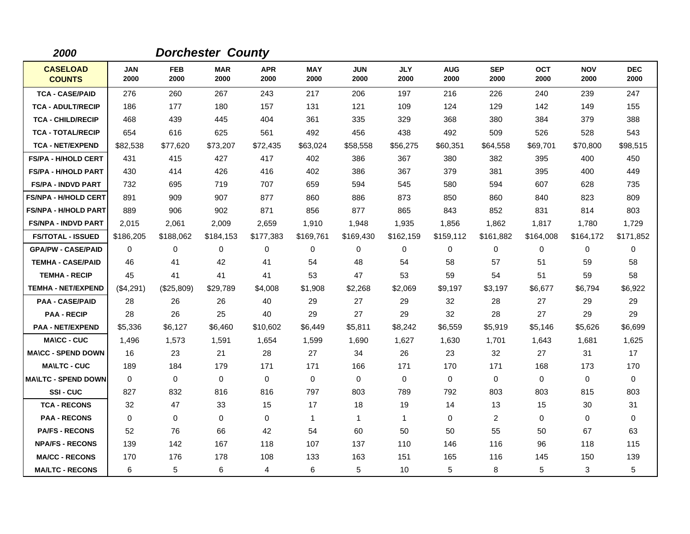| 2000                             |                    |                    | <b>Dorchester County</b> |                    |                    |                    |                    |                    |                    |                    |                    |                    |
|----------------------------------|--------------------|--------------------|--------------------------|--------------------|--------------------|--------------------|--------------------|--------------------|--------------------|--------------------|--------------------|--------------------|
| <b>CASELOAD</b><br><b>COUNTS</b> | <b>JAN</b><br>2000 | <b>FEB</b><br>2000 | <b>MAR</b><br>2000       | <b>APR</b><br>2000 | <b>MAY</b><br>2000 | <b>JUN</b><br>2000 | <b>JLY</b><br>2000 | <b>AUG</b><br>2000 | <b>SEP</b><br>2000 | <b>OCT</b><br>2000 | <b>NOV</b><br>2000 | <b>DEC</b><br>2000 |
| <b>TCA - CASE/PAID</b>           | 276                | 260                | 267                      | 243                | 217                | 206                | 197                | 216                | 226                | 240                | 239                | 247                |
| <b>TCA - ADULT/RECIP</b>         | 186                | 177                | 180                      | 157                | 131                | 121                | 109                | 124                | 129                | 142                | 149                | 155                |
| <b>TCA - CHILD/RECIP</b>         | 468                | 439                | 445                      | 404                | 361                | 335                | 329                | 368                | 380                | 384                | 379                | 388                |
| <b>TCA - TOTAL/RECIP</b>         | 654                | 616                | 625                      | 561                | 492                | 456                | 438                | 492                | 509                | 526                | 528                | 543                |
| <b>TCA - NET/EXPEND</b>          | \$82,538           | \$77,620           | \$73,207                 | \$72,435           | \$63,024           | \$58,558           | \$56,275           | \$60,351           | \$64,558           | \$69,701           | \$70,800           | \$98,515           |
| <b>FS/PA - H/HOLD CERT</b>       | 431                | 415                | 427                      | 417                | 402                | 386                | 367                | 380                | 382                | 395                | 400                | 450                |
| <b>FS/PA - H/HOLD PART</b>       | 430                | 414                | 426                      | 416                | 402                | 386                | 367                | 379                | 381                | 395                | 400                | 449                |
| <b>FS/PA - INDVD PART</b>        | 732                | 695                | 719                      | 707                | 659                | 594                | 545                | 580                | 594                | 607                | 628                | 735                |
| <b>FS/NPA - H/HOLD CERT</b>      | 891                | 909                | 907                      | 877                | 860                | 886                | 873                | 850                | 860                | 840                | 823                | 809                |
| <b>FS/NPA - H/HOLD PART</b>      | 889                | 906                | 902                      | 871                | 856                | 877                | 865                | 843                | 852                | 831                | 814                | 803                |
| <b>FS/NPA - INDVD PART</b>       | 2,015              | 2,061              | 2,009                    | 2,659              | 1,910              | 1,948              | 1,935              | 1,856              | 1,862              | 1,817              | 1,780              | 1,729              |
| <b>FS/TOTAL - ISSUED</b>         | \$186,205          | \$188,062          | \$184,153                | \$177,383          | \$169,761          | \$169,430          | \$162,159          | \$159,112          | \$161,882          | \$164,008          | \$164,172          | \$171,852          |
| <b>GPA/PW - CASE/PAID</b>        | 0                  | 0                  | 0                        | 0                  | 0                  | 0                  | $\mathbf 0$        | 0                  | 0                  | 0                  | 0                  | 0                  |
| <b>TEMHA - CASE/PAID</b>         | 46                 | 41                 | 42                       | 41                 | 54                 | 48                 | 54                 | 58                 | 57                 | 51                 | 59                 | 58                 |
| <b>TEMHA - RECIP</b>             | 45                 | 41                 | 41                       | 41                 | 53                 | 47                 | 53                 | 59                 | 54                 | 51                 | 59                 | 58                 |
| <b>TEMHA - NET/EXPEND</b>        | (\$4,291)          | (\$25,809)         | \$29,789                 | \$4,008            | \$1,908            | \$2,268            | \$2,069            | \$9,197            | \$3,197            | \$6,677            | \$6,794            | \$6,922            |
| <b>PAA - CASE/PAID</b>           | 28                 | 26                 | 26                       | 40                 | 29                 | 27                 | 29                 | 32                 | 28                 | 27                 | 29                 | 29                 |
| <b>PAA - RECIP</b>               | 28                 | 26                 | 25                       | 40                 | 29                 | 27                 | 29                 | 32                 | 28                 | 27                 | 29                 | 29                 |
| <b>PAA - NET/EXPEND</b>          | \$5,336            | \$6,127            | \$6,460                  | \$10,602           | \$6,449            | \$5,811            | \$8,242            | \$6,559            | \$5,919            | \$5,146            | \$5,626            | \$6,699            |
| <b>MA\CC - CUC</b>               | 1,496              | 1,573              | 1,591                    | 1,654              | 1,599              | 1,690              | 1,627              | 1,630              | 1,701              | 1,643              | 1,681              | 1,625              |
| <b>MA\CC - SPEND DOWN</b>        | 16                 | 23                 | 21                       | 28                 | 27                 | 34                 | 26                 | 23                 | 32                 | 27                 | 31                 | 17                 |
| <b>MA\LTC - CUC</b>              | 189                | 184                | 179                      | 171                | 171                | 166                | 171                | 170                | 171                | 168                | 173                | 170                |
| <b>MAILTC - SPEND DOWN</b>       | $\Omega$           | 0                  | $\Omega$                 | $\Omega$           | 0                  | $\Omega$           | $\Omega$           | 0                  | 0                  | 0                  | 0                  | $\Omega$           |
| SSI-CUC                          | 827                | 832                | 816                      | 816                | 797                | 803                | 789                | 792                | 803                | 803                | 815                | 803                |
| <b>TCA - RECONS</b>              | 32                 | 47                 | 33                       | 15                 | 17                 | 18                 | 19                 | 14                 | 13                 | 15                 | 30                 | 31                 |
| <b>PAA - RECONS</b>              | 0                  | 0                  | $\mathbf 0$              | 0                  | $\mathbf{1}$       | $\mathbf{1}$       | $\mathbf{1}$       | 0                  | $\overline{2}$     | 0                  | 0                  | 0                  |
| <b>PA/FS - RECONS</b>            | 52                 | 76                 | 66                       | 42                 | 54                 | 60                 | 50                 | 50                 | 55                 | 50                 | 67                 | 63                 |
| <b>NPA/FS - RECONS</b>           | 139                | 142                | 167                      | 118                | 107                | 137                | 110                | 146                | 116                | 96                 | 118                | 115                |
| <b>MA/CC - RECONS</b>            | 170                | 176                | 178                      | 108                | 133                | 163                | 151                | 165                | 116                | 145                | 150                | 139                |
| <b>MA/LTC - RECONS</b>           | 6                  | 5                  | 6                        | 4                  | 6                  | 5                  | 10                 | 5                  | 8                  | 5                  | 3                  | 5                  |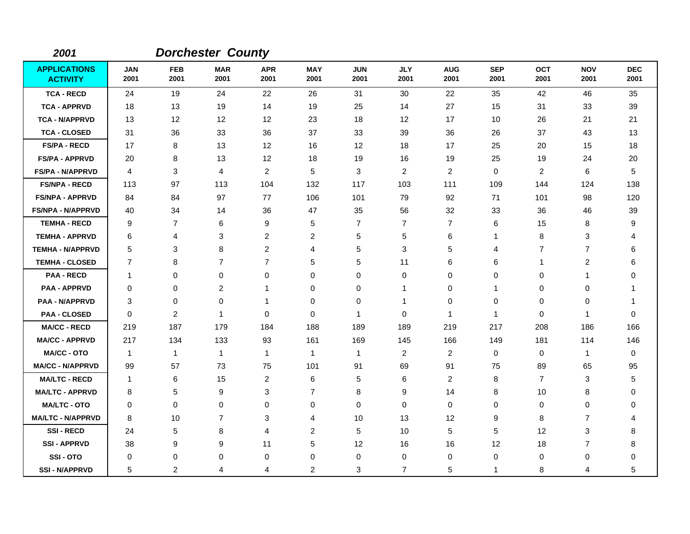| 2001                                   |                    |                    | <b>Dorchester County</b> |                    |                    |                    |                    |                    |                    |                |                    |                    |
|----------------------------------------|--------------------|--------------------|--------------------------|--------------------|--------------------|--------------------|--------------------|--------------------|--------------------|----------------|--------------------|--------------------|
| <b>APPLICATIONS</b><br><b>ACTIVITY</b> | <b>JAN</b><br>2001 | <b>FEB</b><br>2001 | <b>MAR</b><br>2001       | <b>APR</b><br>2001 | <b>MAY</b><br>2001 | <b>JUN</b><br>2001 | <b>JLY</b><br>2001 | <b>AUG</b><br>2001 | <b>SEP</b><br>2001 | OCT<br>2001    | <b>NOV</b><br>2001 | <b>DEC</b><br>2001 |
| <b>TCA - RECD</b>                      | 24                 | 19                 | 24                       | 22                 | 26                 | 31                 | 30                 | 22                 | 35                 | 42             | 46                 | 35                 |
| <b>TCA - APPRVD</b>                    | 18                 | 13                 | 19                       | 14                 | 19                 | 25                 | 14                 | 27                 | 15                 | 31             | 33                 | 39                 |
| <b>TCA - N/APPRVD</b>                  | 13                 | 12                 | 12                       | 12                 | 23                 | 18                 | 12                 | 17                 | 10                 | 26             | 21                 | 21                 |
| <b>TCA - CLOSED</b>                    | 31                 | 36                 | 33                       | 36                 | 37                 | 33                 | 39                 | 36                 | 26                 | 37             | 43                 | 13                 |
| <b>FS/PA - RECD</b>                    | 17                 | 8                  | 13                       | 12                 | 16                 | 12                 | 18                 | 17                 | 25                 | 20             | 15                 | 18                 |
| <b>FS/PA - APPRVD</b>                  | 20                 | 8                  | 13                       | 12                 | 18                 | 19                 | 16                 | 19                 | 25                 | 19             | 24                 | 20                 |
| <b>FS/PA - N/APPRVD</b>                | 4                  | 3                  | 4                        | $\overline{2}$     | 5                  | 3                  | $\overline{c}$     | $\overline{c}$     | $\mathbf 0$        | $\overline{2}$ | 6                  | 5                  |
| <b>FS/NPA - RECD</b>                   | 113                | 97                 | 113                      | 104                | 132                | 117                | 103                | 111                | 109                | 144            | 124                | 138                |
| <b>FS/NPA - APPRVD</b>                 | 84                 | 84                 | 97                       | 77                 | 106                | 101                | 79                 | 92                 | 71                 | 101            | 98                 | 120                |
| <b>FS/NPA - N/APPRVD</b>               | 40                 | 34                 | 14                       | 36                 | 47                 | 35                 | 56                 | 32                 | 33                 | 36             | 46                 | 39                 |
| <b>TEMHA - RECD</b>                    | 9                  | $\overline{7}$     | 6                        | 9                  | 5                  | $\overline{7}$     | $\overline{7}$     | $\overline{7}$     | 6                  | 15             | 8                  | 9                  |
| <b>TEMHA - APPRVD</b>                  | 6                  | 4                  | 3                        | 2                  | $\overline{c}$     | 5                  | 5                  | 6                  | 1                  | 8              | 3                  | 4                  |
| <b>TEMHA - N/APPRVD</b>                | 5                  | 3                  | 8                        | $\overline{2}$     | 4                  | 5                  | 3                  | 5                  | 4                  | $\overline{7}$ | $\overline{7}$     | 6                  |
| <b>TEMHA - CLOSED</b>                  | $\overline{7}$     | 8                  | $\overline{7}$           | $\overline{7}$     | 5                  | 5                  | 11                 | 6                  | 6                  | 1              | 2                  | 6                  |
| <b>PAA - RECD</b>                      | $\mathbf{1}$       | 0                  | 0                        | 0                  | $\mathbf 0$        | 0                  | $\mathbf 0$        | 0                  | 0                  | 0              | 1                  | $\mathbf 0$        |
| <b>PAA - APPRVD</b>                    | 0                  | 0                  | $\overline{c}$           | 1                  | $\mathbf 0$        | 0                  | 1                  | 0                  | 1                  | 0              | 0                  |                    |
| <b>PAA - N/APPRVD</b>                  | 3                  | $\mathbf 0$        | 0                        | $\mathbf 1$        | $\mathbf 0$        | 0                  | $\mathbf 1$        | 0                  | $\Omega$           | 0              | 0                  | -1                 |
| <b>PAA - CLOSED</b>                    | 0                  | 2                  | $\overline{1}$           | 0                  | $\mathbf 0$        | 1                  | $\mathbf 0$        | 1                  | -1                 | 0              | 1                  | $\mathbf 0$        |
| <b>MA/CC - RECD</b>                    | 219                | 187                | 179                      | 184                | 188                | 189                | 189                | 219                | 217                | 208            | 186                | 166                |
| <b>MA/CC - APPRVD</b>                  | 217                | 134                | 133                      | 93                 | 161                | 169                | 145                | 166                | 149                | 181            | 114                | 146                |
| <b>MA/CC - OTO</b>                     | $\mathbf{1}$       | 1                  | $\mathbf{1}$             | 1                  | $\mathbf{1}$       | 1                  | $\overline{c}$     | $\overline{2}$     | $\mathbf 0$        | 0              | 1                  | $\mathbf 0$        |
| <b>MA/CC - N/APPRVD</b>                | 99                 | 57                 | 73                       | 75                 | 101                | 91                 | 69                 | 91                 | 75                 | 89             | 65                 | 95                 |
| <b>MA/LTC - RECD</b>                   | 1                  | 6                  | 15                       | $\overline{c}$     | 6                  | 5                  | 6                  | $\overline{c}$     | 8                  | $\overline{7}$ | 3                  | 5                  |
| <b>MA/LTC - APPRVD</b>                 | 8                  | 5                  | 9                        | 3                  | $\overline{7}$     | 8                  | 9                  | 14                 | 8                  | 10             | 8                  | $\mathbf 0$        |
| <b>MA/LTC - OTO</b>                    | 0                  | 0                  | 0                        | 0                  | 0                  | 0                  | 0                  | 0                  | 0                  | 0              | 0                  | $\mathbf 0$        |
| <b>MA/LTC - N/APPRVD</b>               | 8                  | 10                 | $\overline{7}$           | 3                  | 4                  | 10                 | 13                 | 12                 | 9                  | 8              | $\overline{7}$     | 4                  |
| <b>SSI-RECD</b>                        | 24                 | 5                  | 8                        | 4                  | $\overline{2}$     | 5                  | 10                 | 5                  | 5                  | 12             | 3                  | 8                  |
| <b>SSI-APPRVD</b>                      | 38                 | 9                  | 9                        | 11                 | 5                  | 12                 | 16                 | 16                 | 12                 | 18             | $\overline{7}$     | 8                  |
| SSI-OTO                                | $\Omega$           | 0                  | 0                        | 0                  | $\mathbf 0$        | 0                  | 0                  | 0                  | 0                  | 0              | 0                  | $\mathbf 0$        |
| <b>SSI - N/APPRVD</b>                  | 5                  | $\overline{c}$     | 4                        | 4                  | $\overline{c}$     | 3                  | $\overline{7}$     | 5                  | 1                  | 8              | 4                  | 5                  |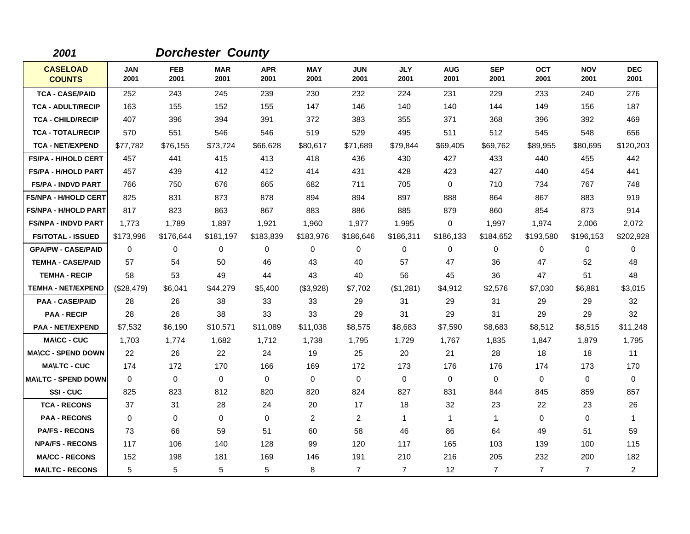| 2001                             |                    |                    | <b>Dorchester County</b> |                    |                    |                    |                    |                    |                    |                    |                    |                    |
|----------------------------------|--------------------|--------------------|--------------------------|--------------------|--------------------|--------------------|--------------------|--------------------|--------------------|--------------------|--------------------|--------------------|
| <b>CASELOAD</b><br><b>COUNTS</b> | <b>JAN</b><br>2001 | <b>FEB</b><br>2001 | <b>MAR</b><br>2001       | <b>APR</b><br>2001 | <b>MAY</b><br>2001 | <b>JUN</b><br>2001 | <b>JLY</b><br>2001 | <b>AUG</b><br>2001 | <b>SEP</b><br>2001 | <b>OCT</b><br>2001 | <b>NOV</b><br>2001 | <b>DEC</b><br>2001 |
| <b>TCA - CASE/PAID</b>           | 252                | 243                | 245                      | 239                | 230                | 232                | 224                | 231                | 229                | 233                | 240                | 276                |
| <b>TCA - ADULT/RECIP</b>         | 163                | 155                | 152                      | 155                | 147                | 146                | 140                | 140                | 144                | 149                | 156                | 187                |
| <b>TCA - CHILD/RECIP</b>         | 407                | 396                | 394                      | 391                | 372                | 383                | 355                | 371                | 368                | 396                | 392                | 469                |
| <b>TCA - TOTAL/RECIP</b>         | 570                | 551                | 546                      | 546                | 519                | 529                | 495                | 511                | 512                | 545                | 548                | 656                |
| <b>TCA - NET/EXPEND</b>          | \$77,782           | \$76,155           | \$73,724                 | \$66,628           | \$80,617           | \$71,689           | \$79,844           | \$69,405           | \$69,762           | \$89,955           | \$80,695           | \$120,203          |
| <b>FS/PA - H/HOLD CERT</b>       | 457                | 441                | 415                      | 413                | 418                | 436                | 430                | 427                | 433                | 440                | 455                | 442                |
| <b>FS/PA - H/HOLD PART</b>       | 457                | 439                | 412                      | 412                | 414                | 431                | 428                | 423                | 427                | 440                | 454                | 441                |
| <b>FS/PA - INDVD PART</b>        | 766                | 750                | 676                      | 665                | 682                | 711                | 705                | 0                  | 710                | 734                | 767                | 748                |
| <b>FS/NPA - H/HOLD CERT</b>      | 825                | 831                | 873                      | 878                | 894                | 894                | 897                | 888                | 864                | 867                | 883                | 919                |
| <b>FS/NPA - H/HOLD PART</b>      | 817                | 823                | 863                      | 867                | 883                | 886                | 885                | 879                | 860                | 854                | 873                | 914                |
| <b>FS/NPA - INDVD PART</b>       | 1,773              | 1,789              | 1,897                    | 1,921              | 1,960              | 1,977              | 1,995              | 0                  | 1,997              | 1,974              | 2,006              | 2,072              |
| <b>FS/TOTAL - ISSUED</b>         | \$173,996          | \$176,644          | \$181,197                | \$183,839          | \$183,976          | \$186,646          | \$186,311          | \$186,133          | \$184,652          | \$193,580          | \$196,153          | \$202,928          |
| <b>GPA/PW - CASE/PAID</b>        | $\Omega$           | 0                  | 0                        | 0                  | 0                  | 0                  | $\mathbf 0$        | 0                  | 0                  | 0                  | 0                  | 0                  |
| <b>TEMHA - CASE/PAID</b>         | 57                 | 54                 | 50                       | 46                 | 43                 | 40                 | 57                 | 47                 | 36                 | 47                 | 52                 | 48                 |
| <b>TEMHA - RECIP</b>             | 58                 | 53                 | 49                       | 44                 | 43                 | 40                 | 56                 | 45                 | 36                 | 47                 | 51                 | 48                 |
| <b>TEMHA - NET/EXPEND</b>        | (\$28,479)         | \$6,041            | \$44,279                 | \$5,400            | (\$3,928)          | \$7,702            | (\$1,281)          | \$4,912            | \$2,576            | \$7,030            | \$6,881            | \$3,015            |
| <b>PAA - CASE/PAID</b>           | 28                 | 26                 | 38                       | 33                 | 33                 | 29                 | 31                 | 29                 | 31                 | 29                 | 29                 | 32                 |
| <b>PAA - RECIP</b>               | 28                 | 26                 | 38                       | 33                 | 33                 | 29                 | 31                 | 29                 | 31                 | 29                 | 29                 | 32                 |
| <b>PAA - NET/EXPEND</b>          | \$7,532            | \$6,190            | \$10,571                 | \$11,089           | \$11,038           | \$8,575            | \$8,683            | \$7,590            | \$8,683            | \$8,512            | \$8,515            | \$11,248           |
| <b>MA\CC - CUC</b>               | 1,703              | 1,774              | 1,682                    | 1,712              | 1,738              | 1,795              | 1,729              | 1,767              | 1,835              | 1,847              | 1,879              | 1,795              |
| <b>MA\CC - SPEND DOWN</b>        | 22                 | 26                 | 22                       | 24                 | 19                 | 25                 | 20                 | 21                 | 28                 | 18                 | 18                 | 11                 |
| <b>MA\LTC - CUC</b>              | 174                | 172                | 170                      | 166                | 169                | 172                | 173                | 176                | 176                | 174                | 173                | 170                |
| <b>MA\LTC - SPEND DOWN</b>       | $\mathbf 0$        | 0                  | $\mathbf 0$              | 0                  | $\mathbf 0$        | $\mathbf 0$        | $\mathbf 0$        | 0                  | 0                  | 0                  | 0                  | 0                  |
| <b>SSI-CUC</b>                   | 825                | 823                | 812                      | 820                | 820                | 824                | 827                | 831                | 844                | 845                | 859                | 857                |
| <b>TCA - RECONS</b>              | 37                 | 31                 | 28                       | 24                 | 20                 | 17                 | 18                 | 32                 | 23                 | 22                 | 23                 | 26                 |
| <b>PAA - RECONS</b>              | $\Omega$           | 0                  | 0                        | 0                  | $\overline{2}$     | $\overline{c}$     | $\mathbf 1$        | $\mathbf{1}$       | $\mathbf{1}$       | 0                  | 0                  | $\mathbf{1}$       |
| <b>PA/FS - RECONS</b>            | 73                 | 66                 | 59                       | 51                 | 60                 | 58                 | 46                 | 86                 | 64                 | 49                 | 51                 | 59                 |
| <b>NPA/FS - RECONS</b>           | 117                | 106                | 140                      | 128                | 99                 | 120                | 117                | 165                | 103                | 139                | 100                | 115                |
| <b>MA/CC - RECONS</b>            | 152                | 198                | 181                      | 169                | 146                | 191                | 210                | 216                | 205                | 232                | 200                | 182                |
| <b>MA/LTC - RECONS</b>           | 5                  | 5                  | 5                        | 5                  | 8                  | $\overline{7}$     | $\overline{7}$     | 12                 | $\overline{7}$     | $\overline{7}$     | $\overline{7}$     | $\overline{a}$     |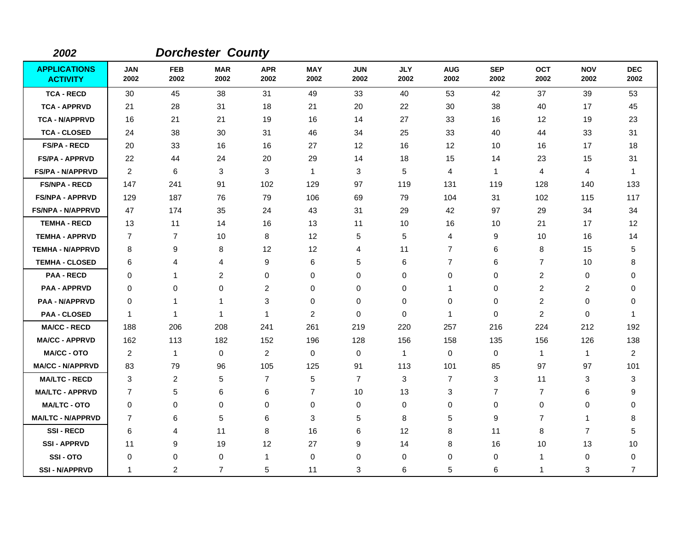| 2002                                   |                    |                    | <b>Dorchester County</b> |                         |                    |                    |                    |                    |                    |                    |                    |                    |
|----------------------------------------|--------------------|--------------------|--------------------------|-------------------------|--------------------|--------------------|--------------------|--------------------|--------------------|--------------------|--------------------|--------------------|
| <b>APPLICATIONS</b><br><b>ACTIVITY</b> | <b>JAN</b><br>2002 | <b>FEB</b><br>2002 | <b>MAR</b><br>2002       | <b>APR</b><br>2002      | <b>MAY</b><br>2002 | <b>JUN</b><br>2002 | <b>JLY</b><br>2002 | <b>AUG</b><br>2002 | <b>SEP</b><br>2002 | <b>OCT</b><br>2002 | <b>NOV</b><br>2002 | <b>DEC</b><br>2002 |
| <b>TCA - RECD</b>                      | 30                 | 45                 | 38                       | 31                      | 49                 | 33                 | 40                 | 53                 | 42                 | 37                 | 39                 | 53                 |
| <b>TCA - APPRVD</b>                    | 21                 | 28                 | 31                       | 18                      | 21                 | 20                 | 22                 | 30                 | 38                 | 40                 | 17                 | 45                 |
| <b>TCA - N/APPRVD</b>                  | 16                 | 21                 | 21                       | 19                      | 16                 | 14                 | 27                 | 33                 | 16                 | 12                 | 19                 | 23                 |
| <b>TCA - CLOSED</b>                    | 24                 | 38                 | 30                       | 31                      | 46                 | 34                 | 25                 | 33                 | 40                 | 44                 | 33                 | 31                 |
| <b>FS/PA - RECD</b>                    | 20                 | 33                 | 16                       | 16                      | 27                 | 12                 | 16                 | 12                 | 10                 | 16                 | 17                 | 18                 |
| <b>FS/PA - APPRVD</b>                  | 22                 | 44                 | 24                       | 20                      | 29                 | 14                 | 18                 | 15                 | 14                 | 23                 | 15                 | 31                 |
| <b>FS/PA - N/APPRVD</b>                | $\overline{2}$     | 6                  | 3                        | 3                       | $\mathbf{1}$       | 3                  | 5                  | 4                  | $\mathbf{1}$       | 4                  | 4                  | $\overline{1}$     |
| <b>FS/NPA - RECD</b>                   | 147                | 241                | 91                       | 102                     | 129                | 97                 | 119                | 131                | 119                | 128                | 140                | 133                |
| <b>FS/NPA - APPRVD</b>                 | 129                | 187                | 76                       | 79                      | 106                | 69                 | 79                 | 104                | 31                 | 102                | 115                | 117                |
| <b>FS/NPA - N/APPRVD</b>               | 47                 | 174                | 35                       | 24                      | 43                 | 31                 | 29                 | 42                 | 97                 | 29                 | 34                 | 34                 |
| <b>TEMHA - RECD</b>                    | 13                 | 11                 | 14                       | 16                      | 13                 | 11                 | 10                 | 16                 | 10                 | 21                 | 17                 | 12                 |
| <b>TEMHA - APPRVD</b>                  | $\overline{7}$     | $\overline{7}$     | 10                       | 8                       | 12                 | 5                  | 5                  | 4                  | 9                  | 10                 | 16                 | 14                 |
| <b>TEMHA - N/APPRVD</b>                | 8                  | 9                  | 8                        | 12                      | 12                 | 4                  | 11                 | 7                  | 6                  | 8                  | 15                 | 5                  |
| <b>TEMHA - CLOSED</b>                  | 6                  | 4                  | 4                        | 9                       | 6                  | 5                  | 6                  | 7                  | 6                  | $\overline{7}$     | 10                 | 8                  |
| <b>PAA - RECD</b>                      | 0                  | $\mathbf{1}$       | $\overline{c}$           | 0                       | 0                  | $\mathbf 0$        | $\mathbf 0$        | 0                  | $\mathbf 0$        | $\overline{c}$     | $\mathbf 0$        | $\Omega$           |
| <b>PAA - APPRVD</b>                    | 0                  | $\mathbf 0$        | 0                        | $\overline{\mathbf{c}}$ | 0                  | 0                  | $\mathbf 0$        | 1                  | $\mathbf 0$        | 2                  | $\overline{c}$     | 0                  |
| <b>PAA - N/APPRVD</b>                  | $\Omega$           | $\mathbf 1$        | 1                        | 3                       | 0                  | 0                  | 0                  | 0                  | 0                  | $\overline{2}$     | 0                  | 0                  |
| <b>PAA - CLOSED</b>                    | 1                  | $\mathbf{1}$       | $\mathbf{1}$             | -1                      | $\overline{2}$     | $\mathbf 0$        | $\mathbf 0$        | 1                  | $\mathbf 0$        | $\overline{c}$     | $\mathbf 0$        | -1                 |
| <b>MA/CC - RECD</b>                    | 188                | 206                | 208                      | 241                     | 261                | 219                | 220                | 257                | 216                | 224                | 212                | 192                |
| <b>MA/CC - APPRVD</b>                  | 162                | 113                | 182                      | 152                     | 196                | 128                | 156                | 158                | 135                | 156                | 126                | 138                |
| <b>MA/CC - OTO</b>                     | $\overline{2}$     | $\mathbf{1}$       | $\mathbf 0$              | $\overline{2}$          | $\mathbf 0$        | 0                  | $\mathbf{1}$       | $\pmb{0}$          | $\mathbf 0$        | $\mathbf{1}$       | $\mathbf{1}$       | 2                  |
| <b>MA/CC - N/APPRVD</b>                | 83                 | 79                 | 96                       | 105                     | 125                | 91                 | 113                | 101                | 85                 | 97                 | 97                 | 101                |
| <b>MA/LTC - RECD</b>                   | 3                  | 2                  | 5                        | $\overline{7}$          | 5                  | $\overline{7}$     | 3                  | 7                  | 3                  | 11                 | 3                  | 3                  |
| <b>MA/LTC - APPRVD</b>                 | $\overline{7}$     | 5                  | 6                        | 6                       | $\overline{7}$     | 10                 | 13                 | 3                  | $\overline{7}$     | $\overline{7}$     | 6                  | 9                  |
| <b>MA/LTC - OTO</b>                    | 0                  | 0                  | 0                        | 0                       | 0                  | 0                  | 0                  | 0                  | $\mathbf 0$        | 0                  | 0                  | 0                  |
| <b>MA/LTC - N/APPRVD</b>               | 7                  | 6                  | 5                        | 6                       | 3                  | 5                  | 8                  | 5                  | 9                  | $\overline{7}$     | -1                 | 8                  |
| <b>SSI-RECD</b>                        | 6                  | 4                  | 11                       | 8                       | 16                 | 6                  | 12                 | 8                  | 11                 | 8                  | $\overline{7}$     | 5                  |
| <b>SSI-APPRVD</b>                      | 11                 | 9                  | 19                       | 12                      | 27                 | 9                  | 14                 | 8                  | 16                 | 10                 | 13                 | 10                 |
| SSI-OTO                                | 0                  | 0                  | 0                        | -1                      | 0                  | 0                  | 0                  | 0                  | 0                  | 1                  | 0                  | 0                  |
| <b>SSI-N/APPRVD</b>                    | 1                  | $\overline{2}$     | 7                        | 5                       | 11                 | 3                  | 6                  | 5                  | 6                  | 1                  | 3                  | $\overline{7}$     |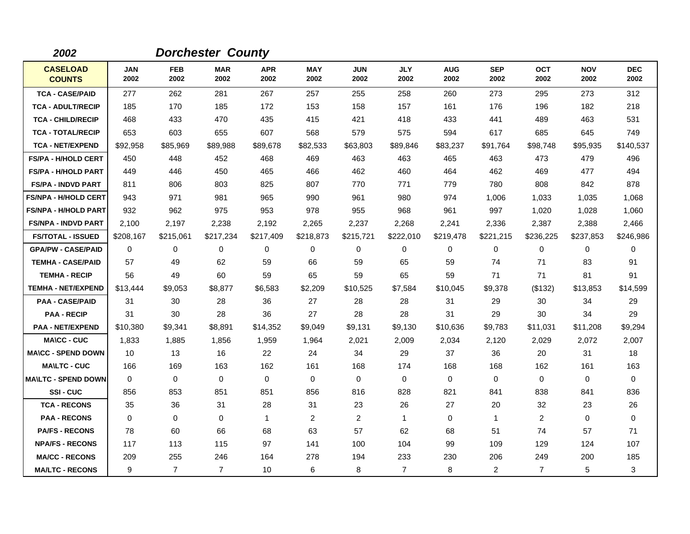| 2002                             |                    |                    | <b>Dorchester County</b> |                    |                    |                    |                    |                    |                    |                    |                    |                    |
|----------------------------------|--------------------|--------------------|--------------------------|--------------------|--------------------|--------------------|--------------------|--------------------|--------------------|--------------------|--------------------|--------------------|
| <b>CASELOAD</b><br><b>COUNTS</b> | <b>JAN</b><br>2002 | <b>FEB</b><br>2002 | <b>MAR</b><br>2002       | <b>APR</b><br>2002 | <b>MAY</b><br>2002 | <b>JUN</b><br>2002 | <b>JLY</b><br>2002 | <b>AUG</b><br>2002 | <b>SEP</b><br>2002 | <b>OCT</b><br>2002 | <b>NOV</b><br>2002 | <b>DEC</b><br>2002 |
| <b>TCA - CASE/PAID</b>           | 277                | 262                | 281                      | 267                | 257                | 255                | 258                | 260                | 273                | 295                | 273                | 312                |
| <b>TCA - ADULT/RECIP</b>         | 185                | 170                | 185                      | 172                | 153                | 158                | 157                | 161                | 176                | 196                | 182                | 218                |
| <b>TCA - CHILD/RECIP</b>         | 468                | 433                | 470                      | 435                | 415                | 421                | 418                | 433                | 441                | 489                | 463                | 531                |
| <b>TCA - TOTAL/RECIP</b>         | 653                | 603                | 655                      | 607                | 568                | 579                | 575                | 594                | 617                | 685                | 645                | 749                |
| <b>TCA - NET/EXPEND</b>          | \$92,958           | \$85,969           | \$89,988                 | \$89,678           | \$82,533           | \$63,803           | \$89,846           | \$83,237           | \$91,764           | \$98,748           | \$95,935           | \$140,537          |
| <b>FS/PA - H/HOLD CERT</b>       | 450                | 448                | 452                      | 468                | 469                | 463                | 463                | 465                | 463                | 473                | 479                | 496                |
| <b>FS/PA - H/HOLD PART</b>       | 449                | 446                | 450                      | 465                | 466                | 462                | 460                | 464                | 462                | 469                | 477                | 494                |
| <b>FS/PA - INDVD PART</b>        | 811                | 806                | 803                      | 825                | 807                | 770                | 771                | 779                | 780                | 808                | 842                | 878                |
| <b>FS/NPA - H/HOLD CERT</b>      | 943                | 971                | 981                      | 965                | 990                | 961                | 980                | 974                | 1,006              | 1,033              | 1,035              | 1,068              |
| <b>FS/NPA - H/HOLD PART</b>      | 932                | 962                | 975                      | 953                | 978                | 955                | 968                | 961                | 997                | 1,020              | 1,028              | 1,060              |
| <b>FS/NPA - INDVD PART</b>       | 2,100              | 2,197              | 2,238                    | 2,192              | 2,265              | 2,237              | 2,268              | 2,241              | 2,336              | 2,387              | 2,388              | 2,466              |
| <b>FS/TOTAL - ISSUED</b>         | \$208,167          | \$215,061          | \$217,234                | \$217,409          | \$218,873          | \$215,721          | \$222,010          | \$219,478          | \$221,215          | \$236,225          | \$237,853          | \$246,986          |
| <b>GPA/PW - CASE/PAID</b>        | 0                  | 0                  | 0                        | 0                  | 0                  | 0                  | $\mathbf 0$        | 0                  | 0                  | 0                  | 0                  | 0                  |
| <b>TEMHA - CASE/PAID</b>         | 57                 | 49                 | 62                       | 59                 | 66                 | 59                 | 65                 | 59                 | 74                 | 71                 | 83                 | 91                 |
| <b>TEMHA - RECIP</b>             | 56                 | 49                 | 60                       | 59                 | 65                 | 59                 | 65                 | 59                 | 71                 | 71                 | 81                 | 91                 |
| <b>TEMHA - NET/EXPEND</b>        | \$13,444           | \$9,053            | \$8,877                  | \$6,583            | \$2,209            | \$10,525           | \$7,584            | \$10,045           | \$9,378            | (\$132)            | \$13,853           | \$14,599           |
| <b>PAA - CASE/PAID</b>           | 31                 | 30                 | 28                       | 36                 | 27                 | 28                 | 28                 | 31                 | 29                 | 30                 | 34                 | 29                 |
| <b>PAA - RECIP</b>               | 31                 | 30                 | 28                       | 36                 | 27                 | 28                 | 28                 | 31                 | 29                 | 30                 | 34                 | 29                 |
| <b>PAA - NET/EXPEND</b>          | \$10,380           | \$9,341            | \$8,891                  | \$14,352           | \$9,049            | \$9,131            | \$9,130            | \$10,636           | \$9,783            | \$11,031           | \$11,208           | \$9,294            |
| <b>MA\CC - CUC</b>               | 1,833              | 1,885              | 1,856                    | 1,959              | 1,964              | 2,021              | 2,009              | 2,034              | 2,120              | 2,029              | 2,072              | 2,007              |
| <b>MA\CC - SPEND DOWN</b>        | 10                 | 13                 | 16                       | 22                 | 24                 | 34                 | 29                 | 37                 | 36                 | 20                 | 31                 | 18                 |
| <b>MA\LTC - CUC</b>              | 166                | 169                | 163                      | 162                | 161                | 168                | 174                | 168                | 168                | 162                | 161                | 163                |
| <b>MAILTC - SPEND DOWN</b>       | $\Omega$           | $\Omega$           | 0                        | $\Omega$           | 0                  | $\Omega$           | $\Omega$           | 0                  | $\Omega$           | 0                  | 0                  | 0                  |
| SSI-CUC                          | 856                | 853                | 851                      | 851                | 856                | 816                | 828                | 821                | 841                | 838                | 841                | 836                |
| <b>TCA - RECONS</b>              | 35                 | 36                 | 31                       | 28                 | 31                 | 23                 | 26                 | 27                 | 20                 | 32                 | 23                 | 26                 |
| <b>PAA - RECONS</b>              | $\Omega$           | 0                  | $\mathbf 0$              | $\mathbf{1}$       | $\overline{2}$     | $\overline{c}$     | $\mathbf{1}$       | 0                  | $\mathbf{1}$       | 2                  | 0                  | $\mathbf 0$        |
| <b>PA/FS - RECONS</b>            | 78                 | 60                 | 66                       | 68                 | 63                 | 57                 | 62                 | 68                 | 51                 | 74                 | 57                 | 71                 |
| <b>NPA/FS - RECONS</b>           | 117                | 113                | 115                      | 97                 | 141                | 100                | 104                | 99                 | 109                | 129                | 124                | 107                |
| <b>MA/CC - RECONS</b>            | 209                | 255                | 246                      | 164                | 278                | 194                | 233                | 230                | 206                | 249                | 200                | 185                |
| <b>MA/LTC - RECONS</b>           | 9                  | $\overline{7}$     | $\overline{7}$           | 10                 | 6                  | 8                  | $\overline{7}$     | 8                  | $\overline{c}$     | $\overline{7}$     | 5                  | 3                  |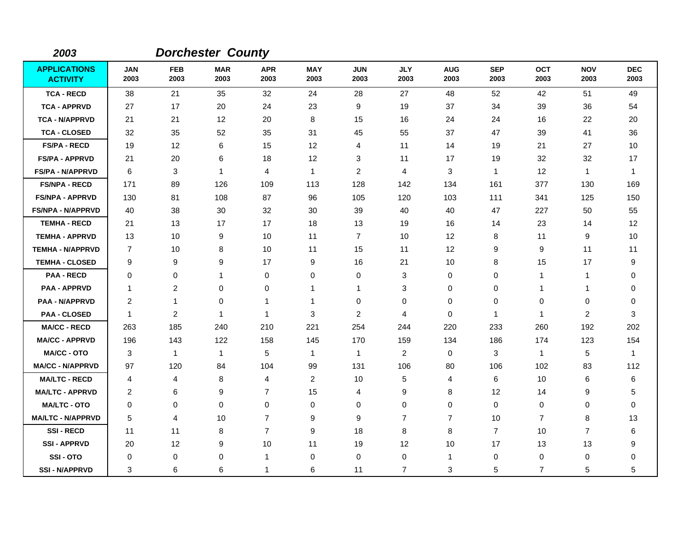| 2003                                   |                    |                    | <b>Dorchester County</b> |                    |                    |                    |                    |                    |                    |                |                    |                    |
|----------------------------------------|--------------------|--------------------|--------------------------|--------------------|--------------------|--------------------|--------------------|--------------------|--------------------|----------------|--------------------|--------------------|
| <b>APPLICATIONS</b><br><b>ACTIVITY</b> | <b>JAN</b><br>2003 | <b>FEB</b><br>2003 | <b>MAR</b><br>2003       | <b>APR</b><br>2003 | <b>MAY</b><br>2003 | <b>JUN</b><br>2003 | <b>JLY</b><br>2003 | <b>AUG</b><br>2003 | <b>SEP</b><br>2003 | OCT<br>2003    | <b>NOV</b><br>2003 | <b>DEC</b><br>2003 |
| <b>TCA - RECD</b>                      | 38                 | 21                 | 35                       | 32                 | 24                 | 28                 | 27                 | 48                 | 52                 | 42             | 51                 | 49                 |
| <b>TCA - APPRVD</b>                    | 27                 | 17                 | 20                       | 24                 | 23                 | 9                  | 19                 | 37                 | 34                 | 39             | 36                 | 54                 |
| <b>TCA - N/APPRVD</b>                  | 21                 | 21                 | 12                       | 20                 | 8                  | 15                 | 16                 | 24                 | 24                 | 16             | 22                 | 20                 |
| <b>TCA - CLOSED</b>                    | 32                 | 35                 | 52                       | 35                 | 31                 | 45                 | 55                 | 37                 | 47                 | 39             | 41                 | 36                 |
| <b>FS/PA - RECD</b>                    | 19                 | 12 <sup>°</sup>    | 6                        | 15                 | 12                 | 4                  | 11                 | 14                 | 19                 | 21             | 27                 | 10                 |
| <b>FS/PA - APPRVD</b>                  | 21                 | 20                 | 6                        | 18                 | 12                 | 3                  | 11                 | 17                 | 19                 | 32             | 32                 | 17                 |
| <b>FS/PA - N/APPRVD</b>                | 6                  | 3                  | $\mathbf{1}$             | 4                  | $\mathbf{1}$       | $\overline{c}$     | 4                  | 3                  | $\mathbf{1}$       | 12             | $\mathbf{1}$       | $\mathbf{1}$       |
| <b>FS/NPA - RECD</b>                   | 171                | 89                 | 126                      | 109                | 113                | 128                | 142                | 134                | 161                | 377            | 130                | 169                |
| <b>FS/NPA - APPRVD</b>                 | 130                | 81                 | 108                      | 87                 | 96                 | 105                | 120                | 103                | 111                | 341            | 125                | 150                |
| <b>FS/NPA - N/APPRVD</b>               | 40                 | 38                 | 30                       | 32                 | 30                 | 39                 | 40                 | 40                 | 47                 | 227            | 50                 | 55                 |
| <b>TEMHA - RECD</b>                    | 21                 | 13                 | 17                       | 17                 | 18                 | 13                 | 19                 | 16                 | 14                 | 23             | 14                 | 12                 |
| <b>TEMHA - APPRVD</b>                  | 13                 | 10                 | 9                        | 10                 | 11                 | $\overline{7}$     | 10                 | 12                 | 8                  | 11             | 9                  | 10                 |
| <b>TEMHA - N/APPRVD</b>                | $\overline{7}$     | 10                 | 8                        | 10                 | 11                 | 15                 | 11                 | 12                 | 9                  | 9              | 11                 | 11                 |
| <b>TEMHA - CLOSED</b>                  | 9                  | 9                  | 9                        | 17                 | 9                  | 16                 | 21                 | 10                 | 8                  | 15             | 17                 | 9                  |
| <b>PAA - RECD</b>                      | 0                  | 0                  | $\mathbf{1}$             | 0                  | 0                  | 0                  | 3                  | 0                  | 0                  | $\mathbf{1}$   | $\mathbf{1}$       | 0                  |
| <b>PAA - APPRVD</b>                    | $\mathbf 1$        | $\overline{c}$     | 0                        | 0                  | $\mathbf{1}$       | 1                  | 3                  | 0                  | 0                  | 1              | $\mathbf{1}$       | 0                  |
| <b>PAA - N/APPRVD</b>                  | 2                  | 1                  | 0                        | $\mathbf 1$        | 1                  | 0                  | 0                  | 0                  | $\Omega$           | 0              | 0                  | $\mathbf 0$        |
| <b>PAA - CLOSED</b>                    | $\mathbf 1$        | 2                  | $\overline{1}$           | 1                  | 3                  | $\overline{2}$     | 4                  | 0                  | $\mathbf{1}$       | $\mathbf{1}$   | 2                  | 3                  |
| <b>MA/CC - RECD</b>                    | 263                | 185                | 240                      | 210                | 221                | 254                | 244                | 220                | 233                | 260            | 192                | 202                |
| <b>MA/CC - APPRVD</b>                  | 196                | 143                | 122                      | 158                | 145                | 170                | 159                | 134                | 186                | 174            | 123                | 154                |
| <b>MA/CC - OTO</b>                     | 3                  | $\mathbf{1}$       | $\mathbf{1}$             | 5                  | $\mathbf{1}$       | $\mathbf{1}$       | $\overline{c}$     | $\mathbf 0$        | 3                  | $\mathbf{1}$   | 5                  | $\mathbf{1}$       |
| <b>MA/CC - N/APPRVD</b>                | 97                 | 120                | 84                       | 104                | 99                 | 131                | 106                | 80                 | 106                | 102            | 83                 | 112                |
| <b>MA/LTC - RECD</b>                   | 4                  | 4                  | 8                        | 4                  | 2                  | 10                 | 5                  | 4                  | 6                  | 10             | 6                  | 6                  |
| <b>MA/LTC - APPRVD</b>                 | $\overline{c}$     | 6                  | 9                        | $\overline{7}$     | 15                 | 4                  | 9                  | 8                  | 12                 | 14             | 9                  | 5                  |
| <b>MA/LTC - OTO</b>                    | 0                  | 0                  | 0                        | 0                  | 0                  | 0                  | 0                  | 0                  | $\mathbf 0$        | 0              | 0                  | $\mathbf 0$        |
| <b>MA/LTC - N/APPRVD</b>               | 5                  | 4                  | 10                       | $\overline{7}$     | 9                  | 9                  | 7                  | $\overline{7}$     | 10                 | $\overline{7}$ | 8                  | 13                 |
| <b>SSI-RECD</b>                        | 11                 | 11                 | 8                        | $\overline{7}$     | 9                  | 18                 | 8                  | 8                  | $\overline{7}$     | 10             | $\overline{7}$     | 6                  |
| <b>SSI-APPRVD</b>                      | 20                 | 12                 | 9                        | 10                 | 11                 | 19                 | 12                 | 10                 | 17                 | 13             | 13                 | 9                  |
| SSI-OTO                                | $\Omega$           | 0                  | 0                        | 1                  | $\mathbf 0$        | 0                  | 0                  | $\mathbf{1}$       | 0                  | 0              | 0                  | $\mathbf 0$        |
| <b>SSI-N/APPRVD</b>                    | 3                  | 6                  | 6                        | 1                  | 6                  | 11                 | $\overline{7}$     | 3                  | 5                  | $\overline{7}$ | 5                  | 5                  |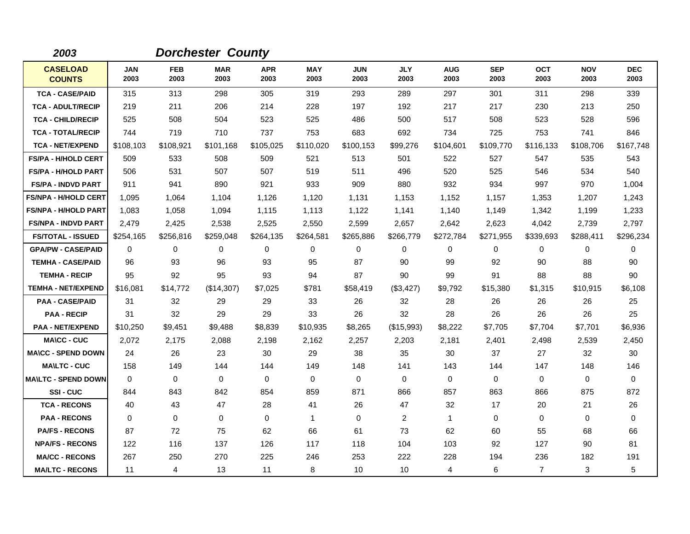| 2003                             |                    |                    | <b>Dorchester County</b> |                    |                    |                    |                    |                    |                    |                    |                    |                    |
|----------------------------------|--------------------|--------------------|--------------------------|--------------------|--------------------|--------------------|--------------------|--------------------|--------------------|--------------------|--------------------|--------------------|
| <b>CASELOAD</b><br><b>COUNTS</b> | <b>JAN</b><br>2003 | <b>FEB</b><br>2003 | <b>MAR</b><br>2003       | <b>APR</b><br>2003 | <b>MAY</b><br>2003 | <b>JUN</b><br>2003 | <b>JLY</b><br>2003 | <b>AUG</b><br>2003 | <b>SEP</b><br>2003 | <b>OCT</b><br>2003 | <b>NOV</b><br>2003 | <b>DEC</b><br>2003 |
| <b>TCA - CASE/PAID</b>           | 315                | 313                | 298                      | 305                | 319                | 293                | 289                | 297                | 301                | 311                | 298                | 339                |
| <b>TCA - ADULT/RECIP</b>         | 219                | 211                | 206                      | 214                | 228                | 197                | 192                | 217                | 217                | 230                | 213                | 250                |
| <b>TCA - CHILD/RECIP</b>         | 525                | 508                | 504                      | 523                | 525                | 486                | 500                | 517                | 508                | 523                | 528                | 596                |
| <b>TCA - TOTAL/RECIP</b>         | 744                | 719                | 710                      | 737                | 753                | 683                | 692                | 734                | 725                | 753                | 741                | 846                |
| <b>TCA - NET/EXPEND</b>          | \$108,103          | \$108,921          | \$101,168                | \$105,025          | \$110,020          | \$100,153          | \$99,276           | \$104,601          | \$109,770          | \$116,133          | \$108,706          | \$167,748          |
| <b>FS/PA - H/HOLD CERT</b>       | 509                | 533                | 508                      | 509                | 521                | 513                | 501                | 522                | 527                | 547                | 535                | 543                |
| <b>FS/PA - H/HOLD PART</b>       | 506                | 531                | 507                      | 507                | 519                | 511                | 496                | 520                | 525                | 546                | 534                | 540                |
| <b>FS/PA - INDVD PART</b>        | 911                | 941                | 890                      | 921                | 933                | 909                | 880                | 932                | 934                | 997                | 970                | 1,004              |
| <b>FS/NPA - H/HOLD CERT</b>      | 1,095              | 1,064              | 1,104                    | 1,126              | 1,120              | 1,131              | 1,153              | 1,152              | 1,157              | 1,353              | 1,207              | 1,243              |
| <b>FS/NPA - H/HOLD PART</b>      | 1,083              | 1,058              | 1,094                    | 1,115              | 1,113              | 1,122              | 1,141              | 1,140              | 1,149              | 1,342              | 1,199              | 1,233              |
| <b>FS/NPA - INDVD PART</b>       | 2,479              | 2,425              | 2,538                    | 2,525              | 2,550              | 2,599              | 2,657              | 2,642              | 2,623              | 4,042              | 2,739              | 2,797              |
| <b>FS/TOTAL - ISSUED</b>         | \$254,165          | \$256,816          | \$259,048                | \$264,135          | \$264,581          | \$265,886          | \$266,779          | \$272,784          | \$271,955          | \$339,693          | \$288,411          | \$296,234          |
| <b>GPA/PW - CASE/PAID</b>        | 0                  | 0                  | 0                        | 0                  | 0                  | 0                  | 0                  | 0                  | 0                  | 0                  | 0                  | 0                  |
| <b>TEMHA - CASE/PAID</b>         | 96                 | 93                 | 96                       | 93                 | 95                 | 87                 | 90                 | 99                 | 92                 | 90                 | 88                 | 90                 |
| <b>TEMHA - RECIP</b>             | 95                 | 92                 | 95                       | 93                 | 94                 | 87                 | 90                 | 99                 | 91                 | 88                 | 88                 | 90                 |
| <b>TEMHA - NET/EXPEND</b>        | \$16,081           | \$14,772           | (\$14,307)               | \$7,025            | \$781              | \$58,419           | (\$3,427)          | \$9,792            | \$15,380           | \$1,315            | \$10,915           | \$6,108            |
| <b>PAA - CASE/PAID</b>           | 31                 | 32                 | 29                       | 29                 | 33                 | 26                 | 32                 | 28                 | 26                 | 26                 | 26                 | 25                 |
| <b>PAA - RECIP</b>               | 31                 | 32                 | 29                       | 29                 | 33                 | 26                 | 32                 | 28                 | 26                 | 26                 | 26                 | 25                 |
| <b>PAA - NET/EXPEND</b>          | \$10,250           | \$9,451            | \$9,488                  | \$8,839            | \$10,935           | \$8,265            | (\$15,993)         | \$8,222            | \$7,705            | \$7,704            | \$7,701            | \$6,936            |
| <b>MA\CC - CUC</b>               | 2.072              | 2,175              | 2,088                    | 2,198              | 2,162              | 2,257              | 2,203              | 2,181              | 2,401              | 2,498              | 2,539              | 2,450              |
| <b>MA\CC - SPEND DOWN</b>        | 24                 | 26                 | 23                       | 30                 | 29                 | 38                 | 35                 | 30                 | 37                 | 27                 | 32                 | 30                 |
| <b>MA\LTC - CUC</b>              | 158                | 149                | 144                      | 144                | 149                | 148                | 141                | 143                | 144                | 147                | 148                | 146                |
| <b>MAILTC - SPEND DOWN</b>       | $\Omega$           | 0                  | $\Omega$                 | $\Omega$           | 0                  | $\Omega$           | $\Omega$           | 0                  | 0                  | $\Omega$           | $\mathbf 0$        | 0                  |
| SSI-CUC                          | 844                | 843                | 842                      | 854                | 859                | 871                | 866                | 857                | 863                | 866                | 875                | 872                |
| <b>TCA - RECONS</b>              | 40                 | 43                 | 47                       | 28                 | 41                 | 26                 | 47                 | 32                 | 17                 | 20                 | 21                 | 26                 |
| <b>PAA - RECONS</b>              | 0                  | 0                  | $\mathbf 0$              | $\mathbf 0$        | $\mathbf{1}$       | $\mathbf 0$        | 2                  | $\mathbf{1}$       | $\mathbf 0$        | 0                  | 0                  | $\mathbf 0$        |
| <b>PA/FS - RECONS</b>            | 87                 | 72                 | 75                       | 62                 | 66                 | 61                 | 73                 | 62                 | 60                 | 55                 | 68                 | 66                 |
| <b>NPA/FS - RECONS</b>           | 122                | 116                | 137                      | 126                | 117                | 118                | 104                | 103                | 92                 | 127                | 90                 | 81                 |
| <b>MA/CC - RECONS</b>            | 267                | 250                | 270                      | 225                | 246                | 253                | 222                | 228                | 194                | 236                | 182                | 191                |
| <b>MA/LTC - RECONS</b>           | 11                 | 4                  | 13                       | 11                 | 8                  | 10                 | 10                 | 4                  | 6                  | $\overline{7}$     | 3                  | 5                  |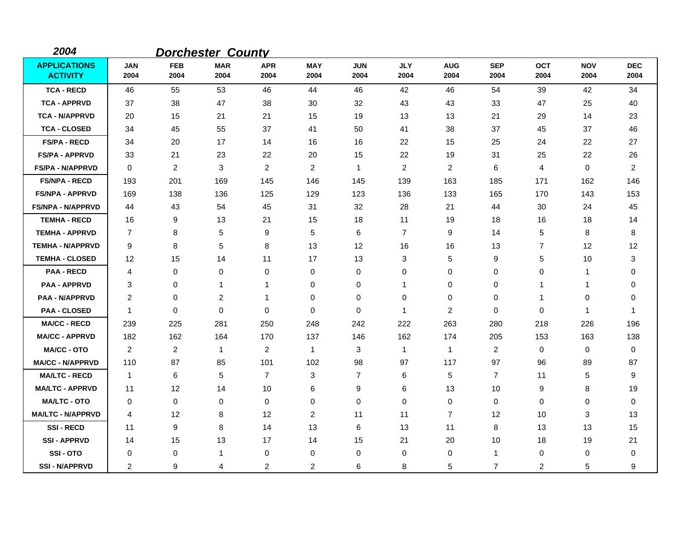| 2004                                   |                    |                    | <b>Dorchester County</b> |                    |                    |                    |                    |                    |                    |                    |                    |                    |
|----------------------------------------|--------------------|--------------------|--------------------------|--------------------|--------------------|--------------------|--------------------|--------------------|--------------------|--------------------|--------------------|--------------------|
| <b>APPLICATIONS</b><br><b>ACTIVITY</b> | <b>JAN</b><br>2004 | <b>FEB</b><br>2004 | <b>MAR</b><br>2004       | <b>APR</b><br>2004 | <b>MAY</b><br>2004 | <b>JUN</b><br>2004 | <b>JLY</b><br>2004 | <b>AUG</b><br>2004 | <b>SEP</b><br>2004 | <b>OCT</b><br>2004 | <b>NOV</b><br>2004 | <b>DEC</b><br>2004 |
| <b>TCA - RECD</b>                      | 46                 | 55                 | 53                       | 46                 | 44                 | 46                 | 42                 | 46                 | 54                 | 39                 | 42                 | 34                 |
| <b>TCA - APPRVD</b>                    | 37                 | 38                 | 47                       | 38                 | 30                 | 32                 | 43                 | 43                 | 33                 | 47                 | 25                 | 40                 |
| <b>TCA - N/APPRVD</b>                  | 20                 | 15                 | 21                       | 21                 | 15                 | 19                 | 13                 | 13                 | 21                 | 29                 | 14                 | 23                 |
| <b>TCA - CLOSED</b>                    | 34                 | 45                 | 55                       | 37                 | 41                 | 50                 | 41                 | 38                 | 37                 | 45                 | 37                 | 46                 |
| <b>FS/PA - RECD</b>                    | 34                 | 20                 | 17                       | 14                 | 16                 | 16                 | 22                 | 15                 | 25                 | 24                 | 22                 | 27                 |
| <b>FS/PA - APPRVD</b>                  | 33                 | 21                 | 23                       | 22                 | 20                 | 15                 | 22                 | 19                 | 31                 | 25                 | 22                 | 26                 |
| <b>FS/PA - N/APPRVD</b>                | $\Omega$           | $\overline{2}$     | 3                        | $\overline{2}$     | $\overline{2}$     | $\overline{1}$     | $\overline{2}$     | 2                  | 6                  | 4                  | $\mathbf 0$        | 2                  |
| <b>FS/NPA - RECD</b>                   | 193                | 201                | 169                      | 145                | 146                | 145                | 139                | 163                | 185                | 171                | 162                | 146                |
| <b>FS/NPA - APPRVD</b>                 | 169                | 138                | 136                      | 125                | 129                | 123                | 136                | 133                | 165                | 170                | 143                | 153                |
| <b>FS/NPA - N/APPRVD</b>               | 44                 | 43                 | 54                       | 45                 | 31                 | 32                 | 28                 | 21                 | 44                 | 30                 | 24                 | 45                 |
| <b>TEMHA - RECD</b>                    | 16                 | 9                  | 13                       | 21                 | 15                 | 18                 | 11                 | 19                 | 18                 | 16                 | 18                 | 14                 |
| <b>TEMHA - APPRVD</b>                  | $\overline{7}$     | 8                  | 5                        | 9                  | 5                  | 6                  | $\overline{7}$     | 9                  | 14                 | 5                  | 8                  | 8                  |
| <b>TEMHA - N/APPRVD</b>                | 9                  | 8                  | $\sqrt{5}$               | 8                  | 13                 | 12                 | 16                 | 16                 | 13                 | $\overline{7}$     | 12                 | 12                 |
| <b>TEMHA - CLOSED</b>                  | 12                 | 15                 | 14                       | 11                 | 17                 | 13                 | 3                  | 5                  | 9                  | 5                  | 10                 | 3                  |
| <b>PAA - RECD</b>                      | 4                  | 0                  | $\mathbf 0$              | 0                  | 0                  | $\mathbf 0$        | 0                  | 0                  | 0                  | 0                  | 1                  | 0                  |
| <b>PAA - APPRVD</b>                    | 3                  | 0                  | 1                        | 1                  | $\mathbf 0$        | 0                  | -1                 | 0                  | $\mathbf 0$        | 1                  | 1                  | 0                  |
| <b>PAA - N/APPRVD</b>                  | 2                  | 0                  | 2                        | $\mathbf 1$        | 0                  | 0                  | 0                  | 0                  | 0                  | $\mathbf 1$        | 0                  | 0                  |
| <b>PAA - CLOSED</b>                    | $\mathbf{1}$       | 0                  | $\mathbf 0$              | 0                  | 0                  | 0                  | $\mathbf 1$        | 2                  | 0                  | 0                  | 1                  | $\overline{1}$     |
| <b>MA/CC - RECD</b>                    | 239                | 225                | 281                      | 250                | 248                | 242                | 222                | 263                | 280                | 218                | 226                | 196                |
| <b>MA/CC - APPRVD</b>                  | 182                | 162                | 164                      | 170                | 137                | 146                | 162                | 174                | 205                | 153                | 163                | 138                |
| <b>MA/CC - OTO</b>                     | $\overline{c}$     | 2                  | $\mathbf{1}$             | $\overline{2}$     | $\mathbf{1}$       | 3                  | $\mathbf 1$        | $\mathbf{1}$       | 2                  | 0                  | 0                  | 0                  |
| <b>MA/CC - N/APPRVD</b>                | 110                | 87                 | 85                       | 101                | 102                | 98                 | 97                 | 117                | 97                 | 96                 | 89                 | 87                 |
| <b>MA/LTC - RECD</b>                   | $\mathbf{1}$       | 6                  | 5                        | 7                  | 3                  | $\overline{7}$     | 6                  | 5                  | $\overline{7}$     | 11                 | 5                  | 9                  |
| <b>MA/LTC - APPRVD</b>                 | 11                 | 12                 | 14                       | 10                 | 6                  | 9                  | 6                  | 13                 | 10                 | 9                  | 8                  | 19                 |
| <b>MA/LTC - OTO</b>                    | 0                  | 0                  | 0                        | 0                  | 0                  | 0                  | 0                  | 0                  | 0                  | 0                  | 0                  | $\mathbf 0$        |
| <b>MA/LTC - N/APPRVD</b>               | 4                  | 12                 | 8                        | 12                 | $\overline{c}$     | 11                 | 11                 | $\overline{7}$     | 12                 | 10                 | 3                  | 13                 |
| <b>SSI-RECD</b>                        | 11                 | 9                  | 8                        | 14                 | 13                 | 6                  | 13                 | 11                 | 8                  | 13                 | 13                 | 15                 |
| <b>SSI-APPRVD</b>                      | 14                 | 15                 | 13                       | 17                 | 14                 | 15                 | 21                 | 20                 | 10                 | 18                 | 19                 | 21                 |
| <b>SSI-OTO</b>                         | 0                  | 0                  | $\mathbf{1}$             | 0                  | 0                  | 0                  | 0                  | 0                  | $\mathbf{1}$       | 0                  | 0                  | 0                  |
| <b>SSI-N/APPRVD</b>                    | 2                  | 9                  | 4                        | 2                  | $\overline{2}$     | 6                  | 8                  | 5                  | $\overline{7}$     | 2                  | 5                  | 9                  |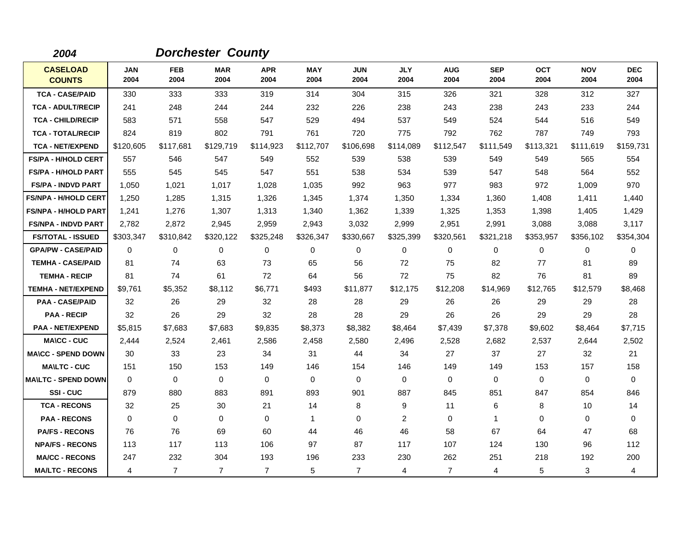| 2004                             |                    |                    | <b>Dorchester County</b> |                    |                    |                    |                    |                    |                    |                    |                    |                    |
|----------------------------------|--------------------|--------------------|--------------------------|--------------------|--------------------|--------------------|--------------------|--------------------|--------------------|--------------------|--------------------|--------------------|
| <b>CASELOAD</b><br><b>COUNTS</b> | <b>JAN</b><br>2004 | <b>FEB</b><br>2004 | <b>MAR</b><br>2004       | <b>APR</b><br>2004 | <b>MAY</b><br>2004 | <b>JUN</b><br>2004 | <b>JLY</b><br>2004 | <b>AUG</b><br>2004 | <b>SEP</b><br>2004 | <b>OCT</b><br>2004 | <b>NOV</b><br>2004 | <b>DEC</b><br>2004 |
| <b>TCA - CASE/PAID</b>           | 330                | 333                | 333                      | 319                | 314                | 304                | 315                | 326                | 321                | 328                | 312                | 327                |
| <b>TCA - ADULT/RECIP</b>         | 241                | 248                | 244                      | 244                | 232                | 226                | 238                | 243                | 238                | 243                | 233                | 244                |
| <b>TCA - CHILD/RECIP</b>         | 583                | 571                | 558                      | 547                | 529                | 494                | 537                | 549                | 524                | 544                | 516                | 549                |
| <b>TCA - TOTAL/RECIP</b>         | 824                | 819                | 802                      | 791                | 761                | 720                | 775                | 792                | 762                | 787                | 749                | 793                |
| <b>TCA - NET/EXPEND</b>          | \$120,605          | \$117,681          | \$129,719                | \$114,923          | \$112,707          | \$106,698          | \$114,089          | \$112,547          | \$111,549          | \$113,321          | \$111,619          | \$159,731          |
| <b>FS/PA - H/HOLD CERT</b>       | 557                | 546                | 547                      | 549                | 552                | 539                | 538                | 539                | 549                | 549                | 565                | 554                |
| <b>FS/PA - H/HOLD PART</b>       | 555                | 545                | 545                      | 547                | 551                | 538                | 534                | 539                | 547                | 548                | 564                | 552                |
| <b>FS/PA - INDVD PART</b>        | 1,050              | 1,021              | 1,017                    | 1,028              | 1,035              | 992                | 963                | 977                | 983                | 972                | 1,009              | 970                |
| <b>FS/NPA - H/HOLD CERT</b>      | 1,250              | 1,285              | 1,315                    | 1,326              | 1,345              | 1,374              | 1,350              | 1,334              | 1,360              | 1,408              | 1,411              | 1,440              |
| <b>FS/NPA - H/HOLD PART</b>      | 1,241              | 1,276              | 1,307                    | 1,313              | 1,340              | 1,362              | 1,339              | 1,325              | 1,353              | 1,398              | 1,405              | 1,429              |
| <b>FS/NPA - INDVD PART</b>       | 2,782              | 2,872              | 2,945                    | 2,959              | 2,943              | 3,032              | 2,999              | 2,951              | 2,991              | 3,088              | 3,088              | 3,117              |
| <b>FS/TOTAL - ISSUED</b>         | \$303,347          | \$310,842          | \$320,122                | \$325,248          | \$326,347          | \$330,667          | \$325,399          | \$320,561          | \$321,218          | \$353,957          | \$356,102          | \$354,304          |
| <b>GPA/PW - CASE/PAID</b>        | $\Omega$           | 0                  | 0                        | $\mathbf 0$        | 0                  | $\mathbf 0$        | 0                  | 0                  | 0                  | $\mathbf 0$        | $\mathbf 0$        | 0                  |
| <b>TEMHA - CASE/PAID</b>         | 81                 | 74                 | 63                       | 73                 | 65                 | 56                 | 72                 | 75                 | 82                 | 77                 | 81                 | 89                 |
| <b>TEMHA - RECIP</b>             | 81                 | 74                 | 61                       | 72                 | 64                 | 56                 | 72                 | 75                 | 82                 | 76                 | 81                 | 89                 |
| <b>TEMHA - NET/EXPEND</b>        | \$9,761            | \$5,352            | \$8,112                  | \$6,771            | \$493              | \$11,877           | \$12,175           | \$12,208           | \$14,969           | \$12,765           | \$12,579           | \$8,468            |
| <b>PAA - CASE/PAID</b>           | 32                 | 26                 | 29                       | 32                 | 28                 | 28                 | 29                 | 26                 | 26                 | 29                 | 29                 | 28                 |
| <b>PAA - RECIP</b>               | 32                 | 26                 | 29                       | 32                 | 28                 | 28                 | 29                 | 26                 | 26                 | 29                 | 29                 | 28                 |
| <b>PAA - NET/EXPEND</b>          | \$5,815            | \$7,683            | \$7,683                  | \$9,835            | \$8,373            | \$8,382            | \$8,464            | \$7,439            | \$7,378            | \$9,602            | \$8,464            | \$7,715            |
| <b>MA\CC - CUC</b>               | 2,444              | 2,524              | 2,461                    | 2,586              | 2,458              | 2,580              | 2,496              | 2,528              | 2,682              | 2,537              | 2,644              | 2,502              |
| <b>MA\CC - SPEND DOWN</b>        | 30                 | 33                 | 23                       | 34                 | 31                 | 44                 | 34                 | 27                 | 37                 | 27                 | 32                 | 21                 |
| <b>MA\LTC - CUC</b>              | 151                | 150                | 153                      | 149                | 146                | 154                | 146                | 149                | 149                | 153                | 157                | 158                |
| <b>MA\LTC - SPEND DOWN</b>       | 0                  | 0                  | 0                        | 0                  | 0                  | $\mathbf 0$        | 0                  | 0                  | 0                  | $\mathbf 0$        | $\mathbf 0$        | 0                  |
| <b>SSI-CUC</b>                   | 879                | 880                | 883                      | 891                | 893                | 901                | 887                | 845                | 851                | 847                | 854                | 846                |
| <b>TCA - RECONS</b>              | 32                 | 25                 | 30                       | 21                 | 14                 | 8                  | 9                  | 11                 | 6                  | 8                  | 10                 | 14                 |
| <b>PAA - RECONS</b>              | 0                  | 0                  | $\mathbf 0$              | 0                  | $\mathbf{1}$       | 0                  | 2                  | 0                  | $\mathbf 1$        | $\mathbf 0$        | $\mathbf 0$        | 0                  |
| <b>PA/FS - RECONS</b>            | 76                 | 76                 | 69                       | 60                 | 44                 | 46                 | 46                 | 58                 | 67                 | 64                 | 47                 | 68                 |
| <b>NPA/FS - RECONS</b>           | 113                | 117                | 113                      | 106                | 97                 | 87                 | 117                | 107                | 124                | 130                | 96                 | 112                |
| <b>MA/CC - RECONS</b>            | 247                | 232                | 304                      | 193                | 196                | 233                | 230                | 262                | 251                | 218                | 192                | 200                |
| <b>MA/LTC - RECONS</b>           | 4                  | $\overline{7}$     | $\overline{7}$           | $\overline{7}$     | 5                  | $\overline{7}$     | 4                  | $\overline{7}$     | 4                  | 5                  | 3                  | 4                  |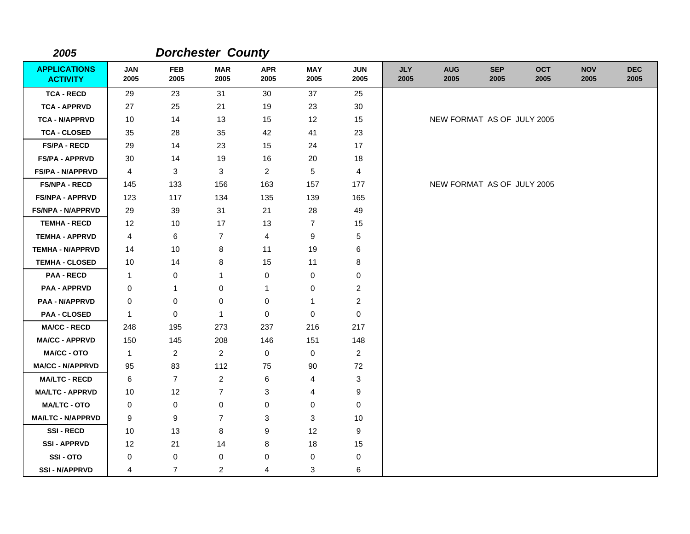| 2005                                   |                    |                    | <b>Dorchester County</b> |                    |                    |                           |                    |                            |                    |                    |                    |                    |
|----------------------------------------|--------------------|--------------------|--------------------------|--------------------|--------------------|---------------------------|--------------------|----------------------------|--------------------|--------------------|--------------------|--------------------|
| <b>APPLICATIONS</b><br><b>ACTIVITY</b> | <b>JAN</b><br>2005 | <b>FEB</b><br>2005 | <b>MAR</b><br>2005       | <b>APR</b><br>2005 | <b>MAY</b><br>2005 | <b>JUN</b><br>2005        | <b>JLY</b><br>2005 | <b>AUG</b><br>2005         | <b>SEP</b><br>2005 | <b>OCT</b><br>2005 | <b>NOV</b><br>2005 | <b>DEC</b><br>2005 |
| <b>TCA - RECD</b>                      | 29                 | 23                 | 31                       | 30                 | 37                 | 25                        |                    |                            |                    |                    |                    |                    |
| <b>TCA - APPRVD</b>                    | 27                 | 25                 | 21                       | 19                 | 23                 | 30                        |                    |                            |                    |                    |                    |                    |
| <b>TCA - N/APPRVD</b>                  | 10                 | 14                 | 13                       | 15                 | 12                 | 15                        |                    | NEW FORMAT AS OF JULY 2005 |                    |                    |                    |                    |
| <b>TCA - CLOSED</b>                    | 35                 | 28                 | 35                       | 42                 | 41                 | 23                        |                    |                            |                    |                    |                    |                    |
| <b>FS/PA - RECD</b>                    | 29                 | 14                 | 23                       | 15                 | 24                 | 17                        |                    |                            |                    |                    |                    |                    |
| <b>FS/PA - APPRVD</b>                  | 30                 | 14                 | 19                       | 16                 | 20                 | 18                        |                    |                            |                    |                    |                    |                    |
| FS/PA - N/APPRVD                       | 4                  | 3                  | 3                        | $\overline{c}$     | 5                  | 4                         |                    |                            |                    |                    |                    |                    |
| <b>FS/NPA - RECD</b>                   | 145                | 133                | 156                      | 163                | 157                | 177                       |                    | NEW FORMAT AS OF JULY 2005 |                    |                    |                    |                    |
| <b>FS/NPA - APPRVD</b>                 | 123                | 117                | 134                      | 135                | 139                | 165                       |                    |                            |                    |                    |                    |                    |
| <b>FS/NPA - N/APPRVD</b>               | 29                 | 39                 | 31                       | 21                 | 28                 | 49                        |                    |                            |                    |                    |                    |                    |
| <b>TEMHA - RECD</b>                    | 12                 | 10                 | 17                       | 13                 | 7                  | 15                        |                    |                            |                    |                    |                    |                    |
| <b>TEMHA - APPRVD</b>                  | 4                  | 6                  | $\overline{7}$           | 4                  | 9                  | 5                         |                    |                            |                    |                    |                    |                    |
| <b>TEMHA - N/APPRVD</b>                | 14                 | 10                 | 8                        | 11                 | 19                 | 6                         |                    |                            |                    |                    |                    |                    |
| <b>TEMHA - CLOSED</b>                  | 10                 | 14                 | 8                        | 15                 | 11                 | 8                         |                    |                            |                    |                    |                    |                    |
| <b>PAA - RECD</b>                      | 1                  | 0                  | 1                        | 0                  | 0                  | 0                         |                    |                            |                    |                    |                    |                    |
| <b>PAA - APPRVD</b>                    | 0                  | 1                  | 0                        | 1                  | 0                  | $\overline{2}$            |                    |                            |                    |                    |                    |                    |
| <b>PAA - N/APPRVD</b>                  | 0                  | 0                  | $\mathbf 0$              | 0                  | 1                  | $\overline{c}$            |                    |                            |                    |                    |                    |                    |
| <b>PAA - CLOSED</b>                    | 1                  | 0                  | $\mathbf{1}$             | 0                  | 0                  | 0                         |                    |                            |                    |                    |                    |                    |
| <b>MA/CC - RECD</b>                    | 248                | 195                | 273                      | 237                | 216                | 217                       |                    |                            |                    |                    |                    |                    |
| <b>MA/CC - APPRVD</b>                  | 150                | 145                | 208                      | 146                | 151                | 148                       |                    |                            |                    |                    |                    |                    |
| <b>MA/CC - OTO</b>                     | 1                  | $\overline{2}$     | $\overline{2}$           | 0                  | 0                  | $\overline{2}$            |                    |                            |                    |                    |                    |                    |
| <b>MA/CC - N/APPRVD</b>                | 95                 | 83                 | 112                      | 75                 | 90                 | 72                        |                    |                            |                    |                    |                    |                    |
| <b>MA/LTC - RECD</b>                   | 6                  | $\overline{7}$     | $\overline{2}$           | 6                  | 4                  | $\ensuremath{\mathsf{3}}$ |                    |                            |                    |                    |                    |                    |
| <b>MA/LTC - APPRVD</b>                 | 10                 | 12                 | $\overline{7}$           | 3                  | 4                  | 9                         |                    |                            |                    |                    |                    |                    |
| <b>MA/LTC - OTO</b>                    | 0                  | 0                  | $\pmb{0}$                | 0                  | 0                  | 0                         |                    |                            |                    |                    |                    |                    |
| <b>MA/LTC - N/APPRVD</b>               | 9                  | 9                  | $\overline{7}$           | 3                  | 3                  | 10                        |                    |                            |                    |                    |                    |                    |
| <b>SSI-RECD</b>                        | 10                 | 13                 | 8                        | 9                  | 12                 | 9                         |                    |                            |                    |                    |                    |                    |
| <b>SSI - APPRVD</b>                    | 12                 | 21                 | 14                       | 8                  | 18                 | 15                        |                    |                            |                    |                    |                    |                    |
| SSI-OTO                                | 0                  | 0                  | 0                        | 0                  | 0                  | 0                         |                    |                            |                    |                    |                    |                    |
| <b>SSI-N/APPRVD</b>                    | 4                  | $\overline{7}$     | $\overline{c}$           | 4                  | 3                  | 6                         |                    |                            |                    |                    |                    |                    |